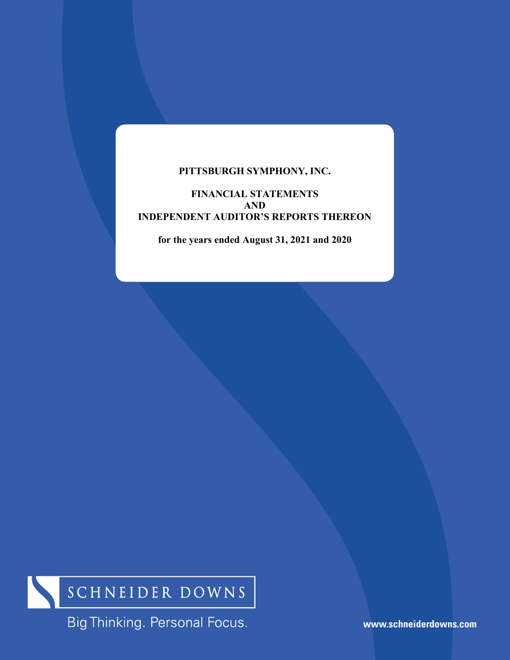# **PITTSBURGH SYMPHONY, INC.**

### **FINANCIAL STATEMENTS AND INDEPENDENT AUDITOR'S REPORTS THEREON**

**for the years ended August 31, 2021 and 2020** 



Big Thinking. Personal Focus.

**www.schneiderdowns.com**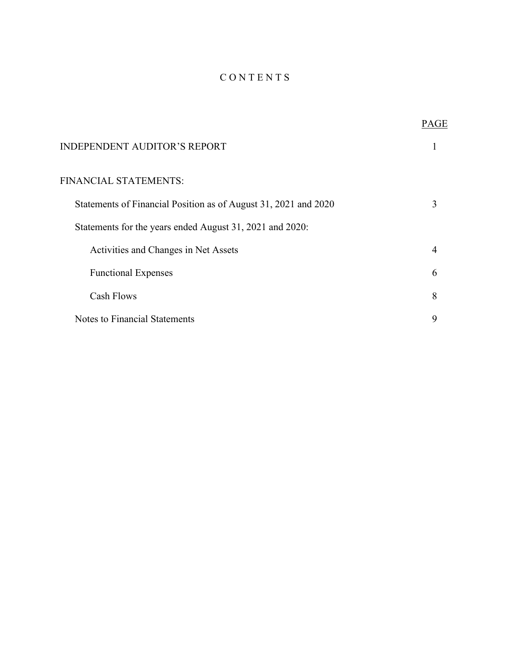# C O N T E N T S

| <b>INDEPENDENT AUDITOR'S REPORT</b>                             |                |
|-----------------------------------------------------------------|----------------|
| FINANCIAL STATEMENTS:                                           |                |
| Statements of Financial Position as of August 31, 2021 and 2020 | 3              |
| Statements for the years ended August 31, 2021 and 2020:        |                |
| Activities and Changes in Net Assets                            | $\overline{4}$ |
| <b>Functional Expenses</b>                                      | 6              |
| <b>Cash Flows</b>                                               | 8              |
| Notes to Financial Statements                                   | 9              |

# iE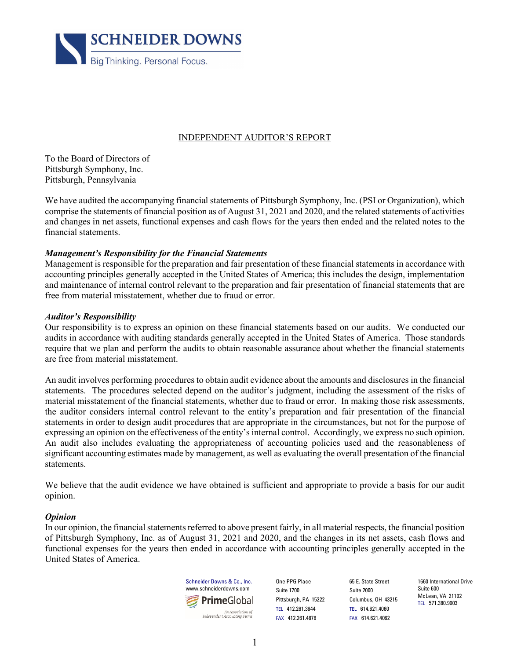

#### INDEPENDENT AUDITOR'S REPORT

To the Board of Directors of Pittsburgh Symphony, Inc. Pittsburgh, Pennsylvania

We have audited the accompanying financial statements of Pittsburgh Symphony, Inc. (PSI or Organization), which comprise the statements of financial position as of August 31, 2021 and 2020, and the related statements of activities and changes in net assets, functional expenses and cash flows for the years then ended and the related notes to the financial statements.

#### *Management's Responsibility for the Financial Statements*

Management is responsible for the preparation and fair presentation of these financial statements in accordance with accounting principles generally accepted in the United States of America; this includes the design, implementation and maintenance of internal control relevant to the preparation and fair presentation of financial statements that are free from material misstatement, whether due to fraud or error.

#### *Auditor's Responsibility*

Our responsibility is to express an opinion on these financial statements based on our audits. We conducted our audits in accordance with auditing standards generally accepted in the United States of America. Those standards require that we plan and perform the audits to obtain reasonable assurance about whether the financial statements are free from material misstatement.

An audit involves performing procedures to obtain audit evidence about the amounts and disclosures in the financial statements. The procedures selected depend on the auditor's judgment, including the assessment of the risks of material misstatement of the financial statements, whether due to fraud or error. In making those risk assessments, the auditor considers internal control relevant to the entity's preparation and fair presentation of the financial statements in order to design audit procedures that are appropriate in the circumstances, but not for the purpose of expressing an opinion on the effectiveness of the entity's internal control. Accordingly, we express no such opinion. An audit also includes evaluating the appropriateness of accounting policies used and the reasonableness of significant accounting estimates made by management, as well as evaluating the overall presentation of the financial statements.

We believe that the audit evidence we have obtained is sufficient and appropriate to provide a basis for our audit opinion.

#### *Opinion*

In our opinion, the financial statements referred to above present fairly, in all material respects, the financial position of Pittsburgh Symphony, Inc. as of August 31, 2021 and 2020, and the changes in its net assets, cash flows and functional expenses for the years then ended in accordance with accounting principles generally accepted in the United States of America.



One PPG Place Suite 1700 Pittsburgh, PA 15222 TEL 412.261.3644 FAX 412.261.4876

65 E. State Street Suite 2000 Columbus, OH 43215 TEL 614.621.4060 FAX 614.621.4062

1660 International Drive Suite 600 McLean, VA 21102 TEL 571.380.9003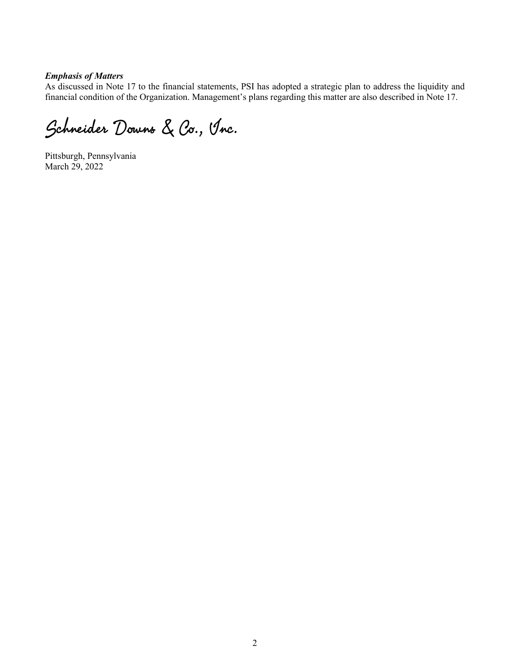#### *Emphasis of Matters*

As discussed in Note 17 to the financial statements, PSI has adopted a strategic plan to address the liquidity and financial condition of the Organization. Management's plans regarding this matter are also described in Note 17.

Schneider Downs & Co., Inc.

Pittsburgh, Pennsylvania March 29, 2022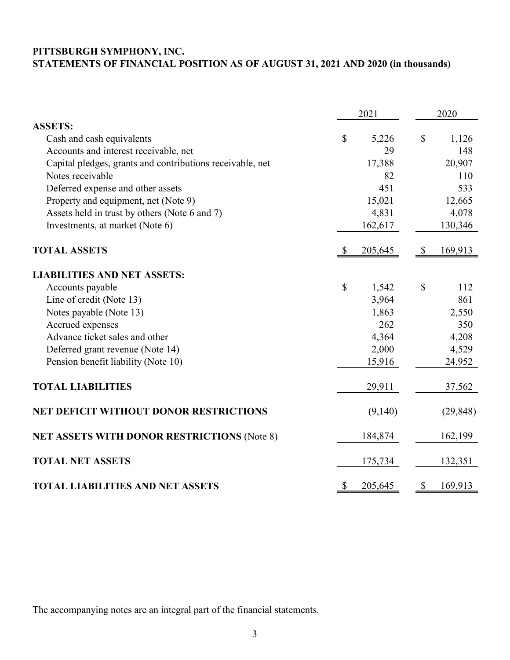# **PITTSBURGH SYMPHONY, INC. STATEMENTS OF FINANCIAL POSITION AS OF AUGUST 31, 2021 AND 2020 (in thousands)**

| 2021                                                      |                           |         | 2020          |           |  |
|-----------------------------------------------------------|---------------------------|---------|---------------|-----------|--|
| <b>ASSETS:</b>                                            |                           |         |               |           |  |
| Cash and cash equivalents                                 | $\boldsymbol{\mathsf{S}}$ | 5,226   | \$            | 1,126     |  |
| Accounts and interest receivable, net                     |                           | 29      |               | 148       |  |
| Capital pledges, grants and contributions receivable, net |                           | 17,388  |               | 20,907    |  |
| Notes receivable                                          |                           | 82      |               | 110       |  |
| Deferred expense and other assets                         |                           | 451     |               | 533       |  |
| Property and equipment, net (Note 9)                      |                           | 15,021  |               | 12,665    |  |
| Assets held in trust by others (Note 6 and 7)             |                           | 4,831   |               | 4,078     |  |
| Investments, at market (Note 6)                           |                           | 162,617 |               | 130,346   |  |
| <b>TOTAL ASSETS</b>                                       | $\mathcal{S}$             | 205,645 | <sup>\$</sup> | 169,913   |  |
| <b>LIABILITIES AND NET ASSETS:</b>                        |                           |         |               |           |  |
| Accounts payable                                          | $\boldsymbol{\mathsf{S}}$ | 1,542   | \$            | 112       |  |
| Line of credit (Note 13)                                  |                           | 3,964   |               | 861       |  |
| Notes payable (Note 13)                                   |                           | 1,863   |               | 2,550     |  |
| Accrued expenses                                          |                           | 262     |               | 350       |  |
| Advance ticket sales and other                            |                           | 4,364   |               | 4,208     |  |
| Deferred grant revenue (Note 14)                          |                           | 2,000   |               | 4,529     |  |
| Pension benefit liability (Note 10)                       |                           | 15,916  |               | 24,952    |  |
| <b>TOTAL LIABILITIES</b>                                  |                           | 29,911  |               | 37,562    |  |
| <b>NET DEFICIT WITHOUT DONOR RESTRICTIONS</b>             |                           | (9,140) |               | (29, 848) |  |
| NET ASSETS WITH DONOR RESTRICTIONS (Note 8)               |                           | 184,874 |               | 162,199   |  |
| <b>TOTAL NET ASSETS</b>                                   |                           | 175,734 |               | 132,351   |  |
| <b>TOTAL LIABILITIES AND NET ASSETS</b>                   | \$                        | 205,645 | \$            | 169,913   |  |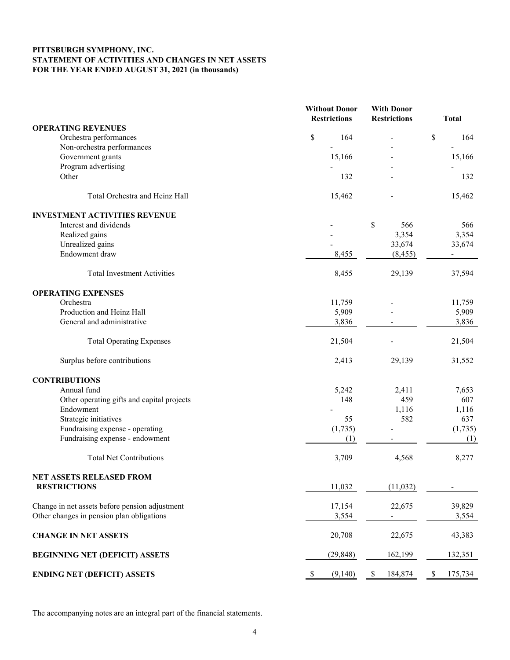#### **PITTSBURGH SYMPHONY, INC. STATEMENT OF ACTIVITIES AND CHANGES IN NET ASSETS FOR THE YEAR ENDED AUGUST 31, 2021 (in thousands)**

|                                                | <b>Without Donor</b><br><b>Restrictions</b> | <b>With Donor</b><br><b>Restrictions</b> | <b>Total</b>  |  |
|------------------------------------------------|---------------------------------------------|------------------------------------------|---------------|--|
| <b>OPERATING REVENUES</b>                      |                                             |                                          |               |  |
| Orchestra performances                         | \$<br>164                                   |                                          | \$<br>164     |  |
| Non-orchestra performances                     |                                             |                                          |               |  |
| Government grants                              | 15,166                                      |                                          | 15,166        |  |
| Program advertising                            |                                             |                                          |               |  |
| Other                                          | 132                                         |                                          | 132           |  |
| Total Orchestra and Heinz Hall                 | 15,462                                      |                                          | 15,462        |  |
| <b>INVESTMENT ACTIVITIES REVENUE</b>           |                                             |                                          |               |  |
| Interest and dividends                         |                                             | \$<br>566                                | 566           |  |
| Realized gains                                 |                                             | 3,354                                    | 3,354         |  |
| Unrealized gains                               |                                             | 33,674                                   | 33,674        |  |
| Endowment draw                                 | 8,455                                       | (8, 455)                                 |               |  |
| <b>Total Investment Activities</b>             | 8,455                                       | 29,139                                   | 37,594        |  |
| <b>OPERATING EXPENSES</b>                      |                                             |                                          |               |  |
| Orchestra                                      | 11,759                                      |                                          | 11,759        |  |
| Production and Heinz Hall                      | 5,909                                       |                                          | 5,909         |  |
| General and administrative                     | 3,836                                       |                                          | 3,836         |  |
| <b>Total Operating Expenses</b>                | 21,504                                      |                                          | 21,504        |  |
| Surplus before contributions                   | 2,413                                       | 29,139                                   | 31,552        |  |
| <b>CONTRIBUTIONS</b>                           |                                             |                                          |               |  |
| Annual fund                                    | 5,242                                       | 2,411                                    | 7,653         |  |
| Other operating gifts and capital projects     | 148                                         | 459                                      | 607           |  |
| Endowment                                      |                                             | 1,116                                    | 1,116         |  |
| Strategic initiatives                          | 55                                          | 582                                      | 637           |  |
| Fundraising expense - operating                | (1,735)                                     |                                          | (1,735)       |  |
| Fundraising expense - endowment                | (1)                                         |                                          | (1)           |  |
| <b>Total Net Contributions</b>                 | 3,709                                       | 4,568                                    | 8,277         |  |
| NET ASSETS RELEASED FROM                       |                                             |                                          |               |  |
| <b>RESTRICTIONS</b>                            | 11,032                                      | (11, 032)                                |               |  |
| Change in net assets before pension adjustment | 17,154                                      | 22,675                                   | 39,829        |  |
| Other changes in pension plan obligations      | 3,554                                       |                                          | 3,554         |  |
| <b>CHANGE IN NET ASSETS</b>                    | 20,708                                      | 22,675                                   | 43,383        |  |
| <b>BEGINNING NET (DEFICIT) ASSETS</b>          | (29, 848)                                   | 162,199                                  | 132,351       |  |
| <b>ENDING NET (DEFICIT) ASSETS</b>             | (9,140)                                     | 184,874<br>Y.                            | 175,734<br>\$ |  |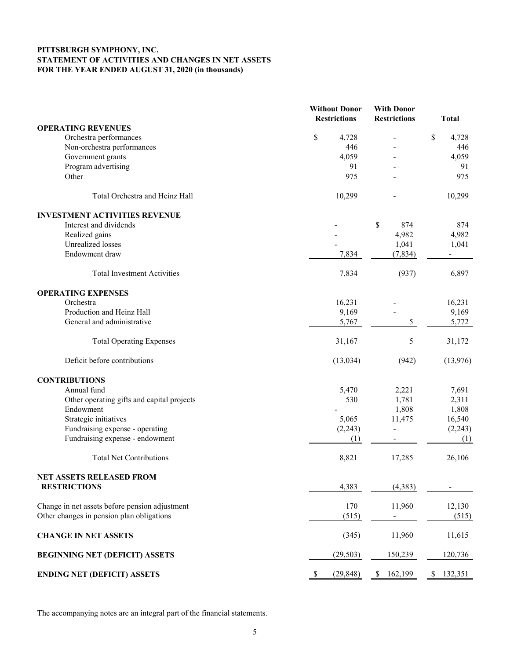#### **PITTSBURGH SYMPHONY, INC. STATEMENT OF ACTIVITIES AND CHANGES IN NET ASSETS FOR THE YEAR ENDED AUGUST 31, 2020 (in thousands)**

|                                                | <b>Without Donor</b><br><b>Restrictions</b> | <b>With Donor</b><br><b>Restrictions</b> | <b>Total</b> |
|------------------------------------------------|---------------------------------------------|------------------------------------------|--------------|
| <b>OPERATING REVENUES</b>                      |                                             |                                          |              |
| Orchestra performances                         | \$<br>4,728                                 |                                          | \$<br>4,728  |
| Non-orchestra performances                     | 446                                         |                                          | 446          |
| Government grants                              | 4,059                                       |                                          | 4,059        |
| Program advertising                            | 91                                          |                                          | 91           |
| Other                                          | 975                                         |                                          | 975          |
| Total Orchestra and Heinz Hall                 | 10,299                                      |                                          | 10,299       |
| <b>INVESTMENT ACTIVITIES REVENUE</b>           |                                             |                                          |              |
| Interest and dividends                         |                                             | \$<br>874                                | 874          |
| Realized gains                                 |                                             | 4,982                                    | 4,982        |
| <b>Unrealized</b> losses                       |                                             | 1,041                                    | 1,041        |
| Endowment draw                                 | 7,834                                       | (7, 834)                                 |              |
| <b>Total Investment Activities</b>             | 7,834                                       | (937)                                    | 6,897        |
| <b>OPERATING EXPENSES</b>                      |                                             |                                          |              |
| Orchestra                                      | 16,231                                      |                                          | 16,231       |
| Production and Heinz Hall                      | 9,169                                       |                                          | 9,169        |
| General and administrative                     | 5,767                                       | 5                                        | 5,772        |
| <b>Total Operating Expenses</b>                | 31,167                                      | 5                                        | 31,172       |
| Deficit before contributions                   | (13, 034)                                   | (942)                                    | (13,976)     |
| <b>CONTRIBUTIONS</b>                           |                                             |                                          |              |
| Annual fund                                    | 5,470                                       | 2,221                                    | 7,691        |
| Other operating gifts and capital projects     | 530                                         | 1,781                                    | 2,311        |
| Endowment                                      |                                             | 1,808                                    | 1,808        |
| Strategic initiatives                          | 5,065                                       | 11,475                                   | 16,540       |
| Fundraising expense - operating                | (2,243)                                     |                                          | (2,243)      |
| Fundraising expense - endowment                | (1)                                         |                                          | (1)          |
| <b>Total Net Contributions</b>                 | 8,821                                       | 17,285                                   | 26,106       |
| NET ASSETS RELEASED FROM                       |                                             |                                          |              |
| <b>RESTRICTIONS</b>                            | 4,383                                       | (4, 383)                                 |              |
| Change in net assets before pension adjustment | 170                                         | 11,960                                   | 12,130       |
| Other changes in pension plan obligations      | (515)                                       |                                          | (515)        |
| <b>CHANGE IN NET ASSETS</b>                    | (345)                                       | 11,960                                   | 11,615       |
| <b>BEGINNING NET (DEFICIT) ASSETS</b>          | (29, 503)                                   | 150,239                                  | 120,736      |
| <b>ENDING NET (DEFICIT) ASSETS</b>             | (29, 848)<br><sup>8</sup>                   | \$162,199                                | \$ 132,351   |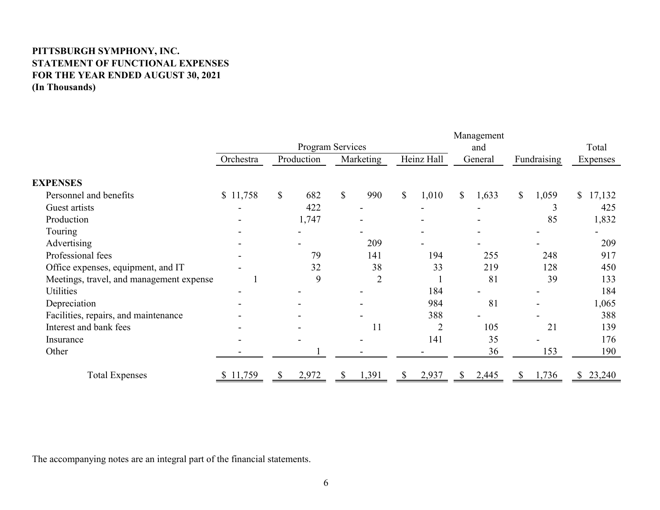# **PITTSBURGH SYMPHONY, INC. STATEMENT OF FUNCTIONAL EXPENSES FOR THE YEAR ENDED AUGUST 30, 2021 (In Thousands)**

|                                          |           |                     |                  |                          | Management  |                       |                        |
|------------------------------------------|-----------|---------------------|------------------|--------------------------|-------------|-----------------------|------------------------|
|                                          |           |                     | Program Services | and                      | Total       |                       |                        |
|                                          | Orchestra | Production          | Marketing        | Heinz Hall               | General     | Fundraising           | Expenses               |
| <b>EXPENSES</b>                          |           |                     |                  |                          |             |                       |                        |
| Personnel and benefits                   | \$11,758  | $\mathbb{S}$<br>682 | \$<br>990        | $\mathbb{S}$<br>1,010    | \$<br>1,633 | $\mathbb{S}$<br>1,059 | 17,132<br>\$           |
| Guest artists                            |           | 422                 |                  | $\overline{\phantom{a}}$ | -           | 3                     | 425                    |
| Production                               |           | 1,747               |                  |                          |             | 85                    | 1,832                  |
| Touring                                  |           |                     |                  |                          |             |                       |                        |
| Advertising                              |           |                     | 209              |                          |             |                       | 209                    |
| Professional fees                        |           | 79                  | 141              | 194                      | 255         | 248                   | 917                    |
| Office expenses, equipment, and IT       |           | 32                  | 38               | 33                       | 219         | 128                   | 450                    |
| Meetings, travel, and management expense |           | 9                   | $\overline{2}$   |                          | 81          | 39                    | 133                    |
| <b>Utilities</b>                         |           |                     |                  | 184                      |             |                       | 184                    |
| Depreciation                             |           |                     |                  | 984                      | 81          |                       | 1,065                  |
| Facilities, repairs, and maintenance     |           |                     |                  | 388                      |             |                       | 388                    |
| Interest and bank fees                   |           |                     | 11               | 2                        | 105         | 21                    | 139                    |
| Insurance                                |           |                     |                  | 141                      | 35          |                       | 176                    |
| Other                                    |           |                     |                  |                          | 36          | 153                   | 190                    |
| <b>Total Expenses</b>                    | \$11,759  | 2,972               | 1,391<br>Ъ.      | 2,937                    | 2,445<br>\$ | 1,736                 | $\mathbb{S}$<br>23,240 |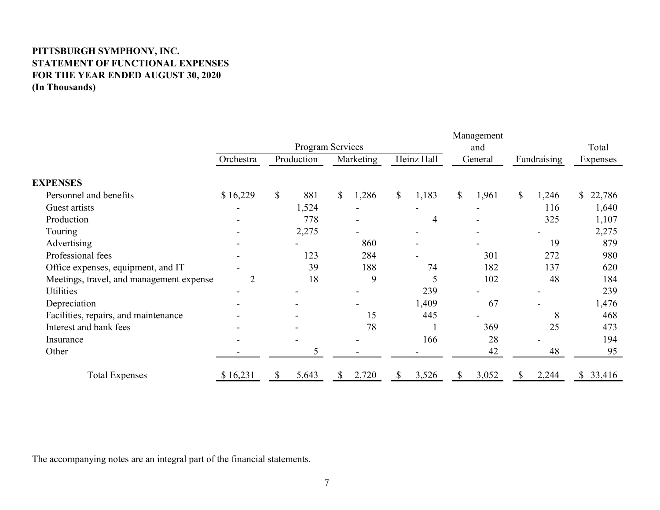# **PITTSBURGH SYMPHONY, INC. STATEMENT OF FUNCTIONAL EXPENSES FOR THE YEAR ENDED AUGUST 30, 2020 (In Thousands)**

|                                          |                |                     |                  |                       | Management  |                       |              |
|------------------------------------------|----------------|---------------------|------------------|-----------------------|-------------|-----------------------|--------------|
|                                          |                |                     | Program Services |                       | and         |                       | Total        |
|                                          | Orchestra      | Production          | Marketing        | Heinz Hall            | General     | Fundraising           | Expenses     |
| <b>EXPENSES</b>                          |                |                     |                  |                       |             |                       |              |
| Personnel and benefits                   | \$16,229       | $\mathbb{S}$<br>881 | 1,286<br>\$      | $\mathbb{S}$<br>1,183 | \$<br>1,961 | $\mathbb{S}$<br>1,246 | 22,786<br>\$ |
| Guest artists                            |                | 1,524               |                  |                       |             | 116                   | 1,640        |
| Production                               |                | 778                 |                  | 4                     |             | 325                   | 1,107        |
| Touring                                  |                | 2,275               |                  |                       |             |                       | 2,275        |
| Advertising                              |                |                     | 860              |                       |             | 19                    | 879          |
| Professional fees                        |                | 123                 | 284              |                       | 301         | 272                   | 980          |
| Office expenses, equipment, and IT       |                | 39                  | 188              | 74                    | 182         | 137                   | 620          |
| Meetings, travel, and management expense | $\overline{2}$ | 18                  | 9                | 5                     | 102         | 48                    | 184          |
| <b>Utilities</b>                         |                |                     |                  | 239                   |             |                       | 239          |
| Depreciation                             |                |                     |                  | 1,409                 | 67          |                       | 1,476        |
| Facilities, repairs, and maintenance     |                |                     | 15               | 445                   |             | 8                     | 468          |
| Interest and bank fees                   |                |                     | 78               |                       | 369         | 25                    | 473          |
| Insurance                                |                |                     |                  | 166                   | 28          |                       | 194          |
| Other                                    |                | 5                   |                  |                       | 42          | 48                    | 95           |
| <b>Total Expenses</b>                    | \$16,231       | 5,643               | 2,720            | 3,526<br>S.           | 3,052       | 2,244                 | 33,416<br>\$ |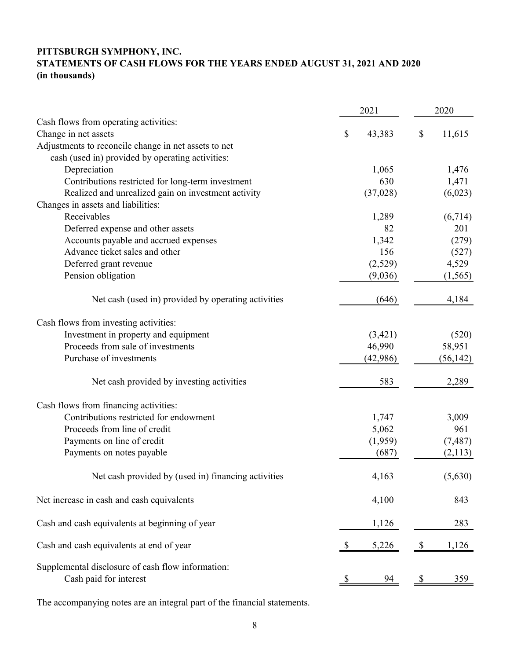# **PITTSBURGH SYMPHONY, INC. STATEMENTS OF CASH FLOWS FOR THE YEARS ENDED AUGUST 31, 2021 AND 2020 (in thousands)**

|                                                      |    | 2021      | 2020 |           |
|------------------------------------------------------|----|-----------|------|-----------|
| Cash flows from operating activities:                |    |           |      |           |
| Change in net assets                                 | \$ | 43,383    | \$   | 11,615    |
| Adjustments to reconcile change in net assets to net |    |           |      |           |
| cash (used in) provided by operating activities:     |    |           |      |           |
| Depreciation                                         |    | 1,065     |      | 1,476     |
| Contributions restricted for long-term investment    |    | 630       |      | 1,471     |
| Realized and unrealized gain on investment activity  |    | (37, 028) |      | (6,023)   |
| Changes in assets and liabilities:                   |    |           |      |           |
| Receivables                                          |    | 1,289     |      | (6,714)   |
| Deferred expense and other assets                    |    | 82        |      | 201       |
| Accounts payable and accrued expenses                |    | 1,342     |      | (279)     |
| Advance ticket sales and other                       |    | 156       |      | (527)     |
| Deferred grant revenue                               |    | (2,529)   |      | 4,529     |
| Pension obligation                                   |    | (9,036)   |      | (1, 565)  |
| Net cash (used in) provided by operating activities  |    | (646)     |      | 4,184     |
| Cash flows from investing activities:                |    |           |      |           |
| Investment in property and equipment                 |    | (3,421)   |      | (520)     |
| Proceeds from sale of investments                    |    | 46,990    |      | 58,951    |
| Purchase of investments                              |    | (42,986)  |      | (56, 142) |
| Net cash provided by investing activities            |    | 583       |      | 2,289     |
| Cash flows from financing activities:                |    |           |      |           |
| Contributions restricted for endowment               |    | 1,747     |      | 3,009     |
| Proceeds from line of credit                         |    | 5,062     |      | 961       |
| Payments on line of credit                           |    | (1,959)   |      | (7, 487)  |
| Payments on notes payable                            |    | (687)     |      | (2,113)   |
| Net cash provided by (used in) financing activities  |    | 4,163     |      | (5,630)   |
| Net increase in cash and cash equivalents            |    | 4,100     |      | 843       |
| Cash and cash equivalents at beginning of year       |    | 1,126     |      | 283       |
| Cash and cash equivalents at end of year             |    | 5,226     | \$   | 1,126     |
| Supplemental disclosure of cash flow information:    |    |           |      |           |
| Cash paid for interest                               |    | 94        |      | 359       |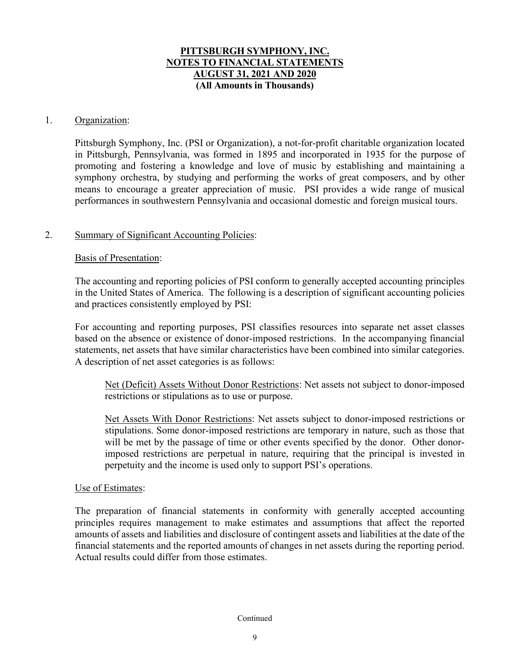#### 1. Organization:

Pittsburgh Symphony, Inc. (PSI or Organization), a not-for-profit charitable organization located in Pittsburgh, Pennsylvania, was formed in 1895 and incorporated in 1935 for the purpose of promoting and fostering a knowledge and love of music by establishing and maintaining a symphony orchestra, by studying and performing the works of great composers, and by other means to encourage a greater appreciation of music. PSI provides a wide range of musical performances in southwestern Pennsylvania and occasional domestic and foreign musical tours.

### 2. Summary of Significant Accounting Policies:

#### Basis of Presentation:

The accounting and reporting policies of PSI conform to generally accepted accounting principles in the United States of America. The following is a description of significant accounting policies and practices consistently employed by PSI:

For accounting and reporting purposes, PSI classifies resources into separate net asset classes based on the absence or existence of donor-imposed restrictions. In the accompanying financial statements, net assets that have similar characteristics have been combined into similar categories. A description of net asset categories is as follows:

Net (Deficit) Assets Without Donor Restrictions: Net assets not subject to donor-imposed restrictions or stipulations as to use or purpose.

Net Assets With Donor Restrictions: Net assets subject to donor-imposed restrictions or stipulations. Some donor-imposed restrictions are temporary in nature, such as those that will be met by the passage of time or other events specified by the donor. Other donorimposed restrictions are perpetual in nature, requiring that the principal is invested in perpetuity and the income is used only to support PSI's operations.

### Use of Estimates:

The preparation of financial statements in conformity with generally accepted accounting principles requires management to make estimates and assumptions that affect the reported amounts of assets and liabilities and disclosure of contingent assets and liabilities at the date of the financial statements and the reported amounts of changes in net assets during the reporting period. Actual results could differ from those estimates.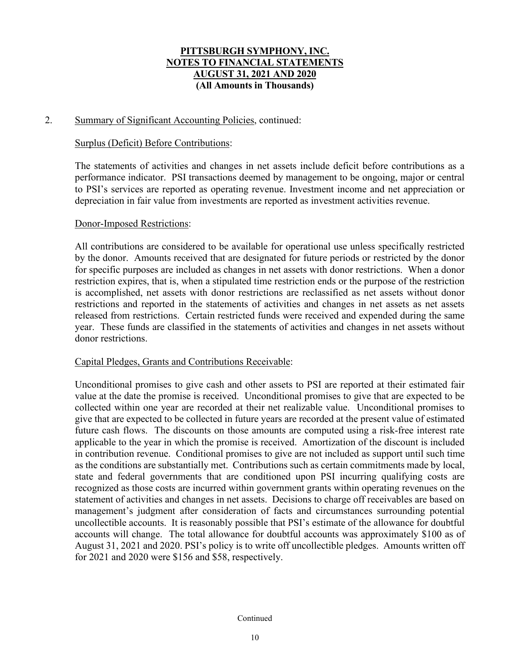#### 2. Summary of Significant Accounting Policies, continued:

#### Surplus (Deficit) Before Contributions:

The statements of activities and changes in net assets include deficit before contributions as a performance indicator. PSI transactions deemed by management to be ongoing, major or central to PSI's services are reported as operating revenue. Investment income and net appreciation or depreciation in fair value from investments are reported as investment activities revenue.

#### Donor-Imposed Restrictions:

All contributions are considered to be available for operational use unless specifically restricted by the donor. Amounts received that are designated for future periods or restricted by the donor for specific purposes are included as changes in net assets with donor restrictions. When a donor restriction expires, that is, when a stipulated time restriction ends or the purpose of the restriction is accomplished, net assets with donor restrictions are reclassified as net assets without donor restrictions and reported in the statements of activities and changes in net assets as net assets released from restrictions. Certain restricted funds were received and expended during the same year. These funds are classified in the statements of activities and changes in net assets without donor restrictions.

### Capital Pledges, Grants and Contributions Receivable:

Unconditional promises to give cash and other assets to PSI are reported at their estimated fair value at the date the promise is received. Unconditional promises to give that are expected to be collected within one year are recorded at their net realizable value. Unconditional promises to give that are expected to be collected in future years are recorded at the present value of estimated future cash flows. The discounts on those amounts are computed using a risk-free interest rate applicable to the year in which the promise is received. Amortization of the discount is included in contribution revenue. Conditional promises to give are not included as support until such time as the conditions are substantially met. Contributions such as certain commitments made by local, state and federal governments that are conditioned upon PSI incurring qualifying costs are recognized as those costs are incurred within government grants within operating revenues on the statement of activities and changes in net assets. Decisions to charge off receivables are based on management's judgment after consideration of facts and circumstances surrounding potential uncollectible accounts. It is reasonably possible that PSI's estimate of the allowance for doubtful accounts will change. The total allowance for doubtful accounts was approximately \$100 as of August 31, 2021 and 2020. PSI's policy is to write off uncollectible pledges. Amounts written off for 2021 and 2020 were \$156 and \$58, respectively.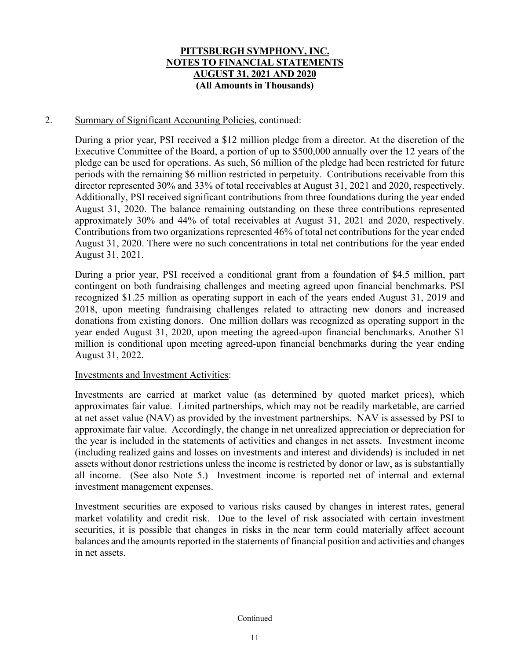#### 2. Summary of Significant Accounting Policies, continued:

During a prior year, PSI received a \$12 million pledge from a director. At the discretion of the Executive Committee of the Board, a portion of up to \$500,000 annually over the 12 years of the pledge can be used for operations. As such, \$6 million of the pledge had been restricted for future periods with the remaining \$6 million restricted in perpetuity. Contributions receivable from this director represented 30% and 33% of total receivables at August 31, 2021 and 2020, respectively. Additionally, PSI received significant contributions from three foundations during the year ended August 31, 2020. The balance remaining outstanding on these three contributions represented approximately 30% and 44% of total receivables at August 31, 2021 and 2020, respectively. Contributions from two organizations represented 46% of total net contributions for the year ended August 31, 2020. There were no such concentrations in total net contributions for the year ended August 31, 2021.

During a prior year, PSI received a conditional grant from a foundation of \$4.5 million, part contingent on both fundraising challenges and meeting agreed upon financial benchmarks. PSI recognized \$1.25 million as operating support in each of the years ended August 31, 2019 and 2018, upon meeting fundraising challenges related to attracting new donors and increased donations from existing donors. One million dollars was recognized as operating support in the year ended August 31, 2020, upon meeting the agreed-upon financial benchmarks. Another \$1 million is conditional upon meeting agreed-upon financial benchmarks during the year ending August 31, 2022.

### Investments and Investment Activities:

Investments are carried at market value (as determined by quoted market prices), which approximates fair value. Limited partnerships, which may not be readily marketable, are carried at net asset value (NAV) as provided by the investment partnerships. NAV is assessed by PSI to approximate fair value. Accordingly, the change in net unrealized appreciation or depreciation for the year is included in the statements of activities and changes in net assets. Investment income (including realized gains and losses on investments and interest and dividends) is included in net assets without donor restrictions unless the income is restricted by donor or law, as is substantially all income. (See also Note 5.) Investment income is reported net of internal and external investment management expenses.

Investment securities are exposed to various risks caused by changes in interest rates, general market volatility and credit risk. Due to the level of risk associated with certain investment securities, it is possible that changes in risks in the near term could materially affect account balances and the amounts reported in the statements of financial position and activities and changes in net assets.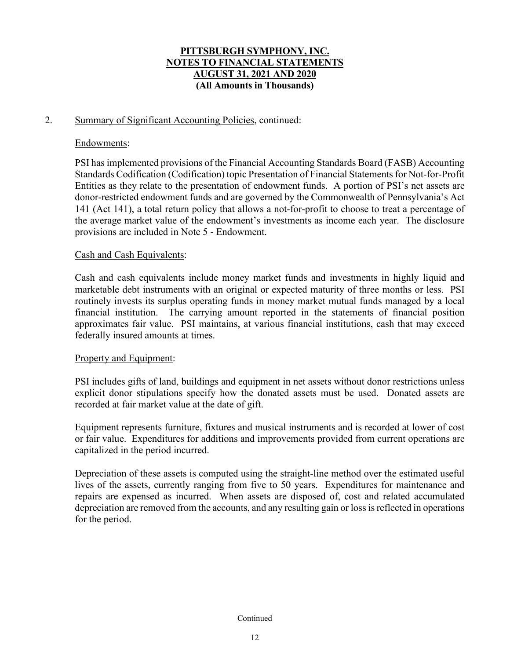### 2. Summary of Significant Accounting Policies, continued:

### Endowments:

PSI has implemented provisions of the Financial Accounting Standards Board (FASB) Accounting Standards Codification (Codification) topic Presentation of Financial Statements for Not-for-Profit Entities as they relate to the presentation of endowment funds. A portion of PSI's net assets are donor-restricted endowment funds and are governed by the Commonwealth of Pennsylvania's Act 141 (Act 141), a total return policy that allows a not-for-profit to choose to treat a percentage of the average market value of the endowment's investments as income each year. The disclosure provisions are included in Note 5 - Endowment.

### Cash and Cash Equivalents:

Cash and cash equivalents include money market funds and investments in highly liquid and marketable debt instruments with an original or expected maturity of three months or less. PSI routinely invests its surplus operating funds in money market mutual funds managed by a local financial institution. The carrying amount reported in the statements of financial position approximates fair value. PSI maintains, at various financial institutions, cash that may exceed federally insured amounts at times.

### Property and Equipment:

PSI includes gifts of land, buildings and equipment in net assets without donor restrictions unless explicit donor stipulations specify how the donated assets must be used. Donated assets are recorded at fair market value at the date of gift.

Equipment represents furniture, fixtures and musical instruments and is recorded at lower of cost or fair value. Expenditures for additions and improvements provided from current operations are capitalized in the period incurred.

Depreciation of these assets is computed using the straight-line method over the estimated useful lives of the assets, currently ranging from five to 50 years. Expenditures for maintenance and repairs are expensed as incurred. When assets are disposed of, cost and related accumulated depreciation are removed from the accounts, and any resulting gain or loss is reflected in operations for the period.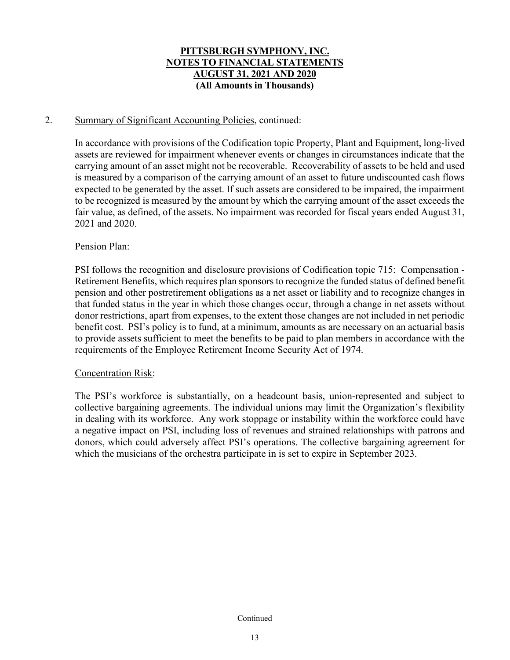### 2. Summary of Significant Accounting Policies, continued:

In accordance with provisions of the Codification topic Property, Plant and Equipment, long-lived assets are reviewed for impairment whenever events or changes in circumstances indicate that the carrying amount of an asset might not be recoverable. Recoverability of assets to be held and used is measured by a comparison of the carrying amount of an asset to future undiscounted cash flows expected to be generated by the asset. If such assets are considered to be impaired, the impairment to be recognized is measured by the amount by which the carrying amount of the asset exceeds the fair value, as defined, of the assets. No impairment was recorded for fiscal years ended August 31, 2021 and 2020.

### Pension Plan:

PSI follows the recognition and disclosure provisions of Codification topic 715: Compensation - Retirement Benefits, which requires plan sponsors to recognize the funded status of defined benefit pension and other postretirement obligations as a net asset or liability and to recognize changes in that funded status in the year in which those changes occur, through a change in net assets without donor restrictions, apart from expenses, to the extent those changes are not included in net periodic benefit cost. PSI's policy is to fund, at a minimum, amounts as are necessary on an actuarial basis to provide assets sufficient to meet the benefits to be paid to plan members in accordance with the requirements of the Employee Retirement Income Security Act of 1974.

### Concentration Risk:

The PSI's workforce is substantially, on a headcount basis, union-represented and subject to collective bargaining agreements. The individual unions may limit the Organization's flexibility in dealing with its workforce. Any work stoppage or instability within the workforce could have a negative impact on PSI, including loss of revenues and strained relationships with patrons and donors, which could adversely affect PSI's operations. The collective bargaining agreement for which the musicians of the orchestra participate in is set to expire in September 2023.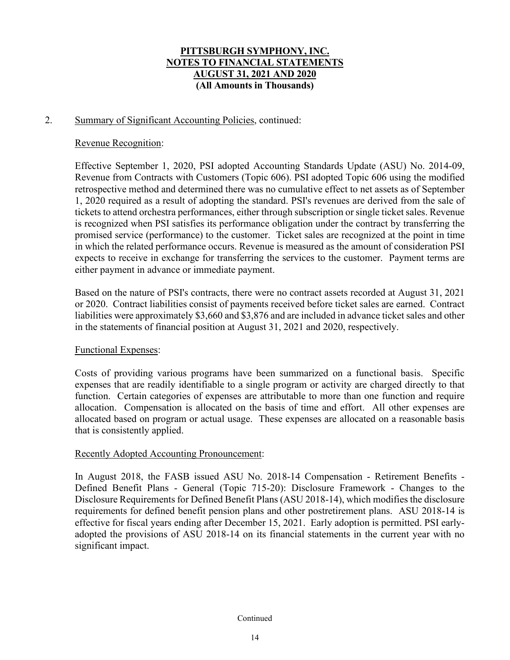### 2. Summary of Significant Accounting Policies, continued:

### Revenue Recognition:

Effective September 1, 2020, PSI adopted Accounting Standards Update (ASU) No. 2014-09, Revenue from Contracts with Customers (Topic 606). PSI adopted Topic 606 using the modified retrospective method and determined there was no cumulative effect to net assets as of September 1, 2020 required as a result of adopting the standard. PSI's revenues are derived from the sale of tickets to attend orchestra performances, either through subscription or single ticket sales. Revenue is recognized when PSI satisfies its performance obligation under the contract by transferring the promised service (performance) to the customer. Ticket sales are recognized at the point in time in which the related performance occurs. Revenue is measured as the amount of consideration PSI expects to receive in exchange for transferring the services to the customer. Payment terms are either payment in advance or immediate payment.

Based on the nature of PSI's contracts, there were no contract assets recorded at August 31, 2021 or 2020. Contract liabilities consist of payments received before ticket sales are earned. Contract liabilities were approximately \$3,660 and \$3,876 and are included in advance ticket sales and other in the statements of financial position at August 31, 2021 and 2020, respectively.

### Functional Expenses:

Costs of providing various programs have been summarized on a functional basis. Specific expenses that are readily identifiable to a single program or activity are charged directly to that function. Certain categories of expenses are attributable to more than one function and require allocation. Compensation is allocated on the basis of time and effort. All other expenses are allocated based on program or actual usage. These expenses are allocated on a reasonable basis that is consistently applied.

### Recently Adopted Accounting Pronouncement:

In August 2018, the FASB issued ASU No. 2018-14 Compensation - Retirement Benefits - Defined Benefit Plans - General (Topic 715-20): Disclosure Framework - Changes to the Disclosure Requirements for Defined Benefit Plans (ASU 2018-14), which modifies the disclosure requirements for defined benefit pension plans and other postretirement plans. ASU 2018-14 is effective for fiscal years ending after December 15, 2021. Early adoption is permitted. PSI earlyadopted the provisions of ASU 2018-14 on its financial statements in the current year with no significant impact.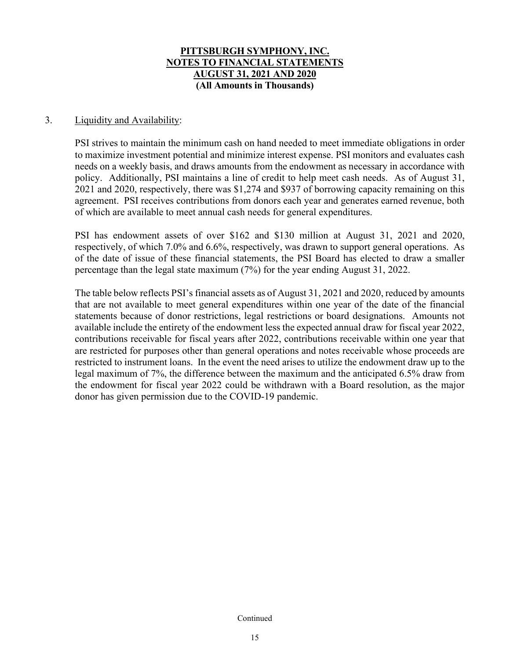#### 3. Liquidity and Availability:

PSI strives to maintain the minimum cash on hand needed to meet immediate obligations in order to maximize investment potential and minimize interest expense. PSI monitors and evaluates cash needs on a weekly basis, and draws amounts from the endowment as necessary in accordance with policy. Additionally, PSI maintains a line of credit to help meet cash needs. As of August 31, 2021 and 2020, respectively, there was \$1,274 and \$937 of borrowing capacity remaining on this agreement. PSI receives contributions from donors each year and generates earned revenue, both of which are available to meet annual cash needs for general expenditures.

PSI has endowment assets of over \$162 and \$130 million at August 31, 2021 and 2020, respectively, of which 7.0% and 6.6%, respectively, was drawn to support general operations. As of the date of issue of these financial statements, the PSI Board has elected to draw a smaller percentage than the legal state maximum (7%) for the year ending August 31, 2022.

The table below reflects PSI's financial assets as of August 31, 2021 and 2020, reduced by amounts that are not available to meet general expenditures within one year of the date of the financial statements because of donor restrictions, legal restrictions or board designations. Amounts not available include the entirety of the endowment less the expected annual draw for fiscal year 2022, contributions receivable for fiscal years after 2022, contributions receivable within one year that are restricted for purposes other than general operations and notes receivable whose proceeds are restricted to instrument loans. In the event the need arises to utilize the endowment draw up to the legal maximum of 7%, the difference between the maximum and the anticipated 6.5% draw from the endowment for fiscal year 2022 could be withdrawn with a Board resolution, as the major donor has given permission due to the COVID-19 pandemic.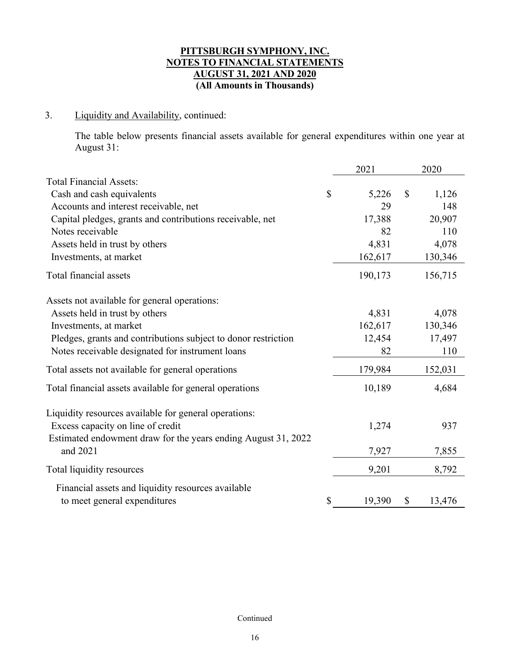### 3. Liquidity and Availability, continued:

The table below presents financial assets available for general expenditures within one year at August 31:

|                                                                                            | 2021         |              | 2020    |
|--------------------------------------------------------------------------------------------|--------------|--------------|---------|
| <b>Total Financial Assets:</b>                                                             |              |              |         |
| Cash and cash equivalents                                                                  | \$<br>5,226  | $\mathbb{S}$ | 1,126   |
| Accounts and interest receivable, net                                                      | 29           |              | 148     |
| Capital pledges, grants and contributions receivable, net                                  | 17,388       |              | 20,907  |
| Notes receivable                                                                           | 82           |              | 110     |
| Assets held in trust by others                                                             | 4,831        |              | 4,078   |
| Investments, at market                                                                     | 162,617      |              | 130,346 |
| Total financial assets                                                                     | 190,173      |              | 156,715 |
| Assets not available for general operations:                                               |              |              |         |
| Assets held in trust by others                                                             | 4,831        |              | 4,078   |
| Investments, at market                                                                     | 162,617      |              | 130,346 |
| Pledges, grants and contributions subject to donor restriction                             | 12,454       |              | 17,497  |
| Notes receivable designated for instrument loans                                           | 82           |              | 110     |
| Total assets not available for general operations                                          | 179,984      |              | 152,031 |
| Total financial assets available for general operations                                    | 10,189       |              | 4,684   |
| Liquidity resources available for general operations:<br>Excess capacity on line of credit | 1,274        |              | 937     |
| Estimated endowment draw for the years ending August 31, 2022<br>and 2021                  | 7,927        |              | 7,855   |
| Total liquidity resources                                                                  | 9,201        |              | 8,792   |
| Financial assets and liquidity resources available                                         |              |              |         |
| to meet general expenditures                                                               | \$<br>19,390 | \$           | 13,476  |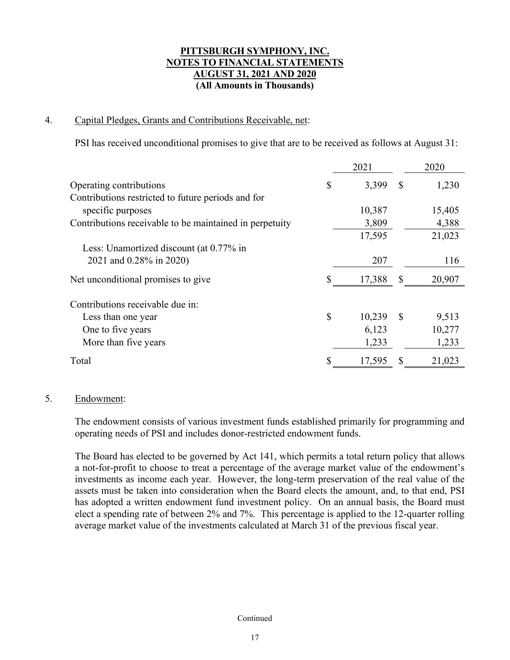### 4. Capital Pledges, Grants and Contributions Receivable, net:

PSI has received unconditional promises to give that are to be received as follows at August 31:

|                                                         |              | 2021   |               | 2020   |
|---------------------------------------------------------|--------------|--------|---------------|--------|
| Operating contributions                                 | \$           | 3,399  | \$            | 1,230  |
| Contributions restricted to future periods and for      |              |        |               |        |
| specific purposes                                       |              | 10,387 |               | 15,405 |
| Contributions receivable to be maintained in perpetuity |              | 3,809  |               | 4,388  |
|                                                         |              | 17,595 |               | 21,023 |
| Less: Unamortized discount (at $0.77\%$ in              |              |        |               |        |
| 2021 and 0.28% in 2020)                                 |              | 207    |               | 116    |
| Net unconditional promises to give                      |              | 17,388 | <sup>\$</sup> | 20,907 |
| Contributions receivable due in:                        |              |        |               |        |
| Less than one year                                      | $\mathbb{S}$ | 10,239 | -S            | 9,513  |
| One to five years                                       |              | 6,123  |               | 10,277 |
| More than five years                                    |              | 1,233  |               | 1,233  |
| Total                                                   |              | 17,595 |               | 21,023 |

### 5. Endowment:

The endowment consists of various investment funds established primarily for programming and operating needs of PSI and includes donor-restricted endowment funds.

The Board has elected to be governed by Act 141, which permits a total return policy that allows a not-for-profit to choose to treat a percentage of the average market value of the endowment's investments as income each year. However, the long-term preservation of the real value of the assets must be taken into consideration when the Board elects the amount, and, to that end, PSI has adopted a written endowment fund investment policy. On an annual basis, the Board must elect a spending rate of between 2% and 7%. This percentage is applied to the 12-quarter rolling average market value of the investments calculated at March 31 of the previous fiscal year.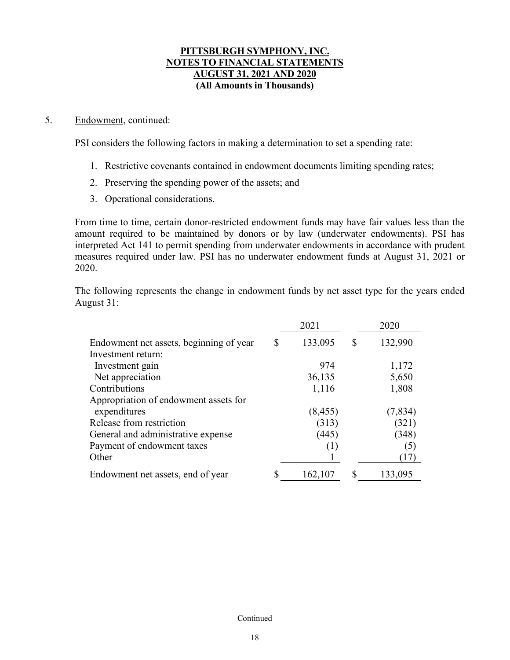#### 5. Endowment, continued:

PSI considers the following factors in making a determination to set a spending rate:

- 1. Restrictive covenants contained in endowment documents limiting spending rates;
- 2. Preserving the spending power of the assets; and
- 3. Operational considerations.

From time to time, certain donor-restricted endowment funds may have fair values less than the amount required to be maintained by donors or by law (underwater endowments). PSI has interpreted Act 141 to permit spending from underwater endowments in accordance with prudent measures required under law. PSI has no underwater endowment funds at August 31, 2021 or 2020.

The following represents the change in endowment funds by net asset type for the years ended August 31:

|                                         | 2021          | 2020          |
|-----------------------------------------|---------------|---------------|
| Endowment net assets, beginning of year | \$<br>133,095 | \$<br>132,990 |
| Investment return:                      |               |               |
| Investment gain                         | 974           | 1,172         |
| Net appreciation                        | 36,135        | 5,650         |
| Contributions                           | 1,116         | 1,808         |
| Appropriation of endowment assets for   |               |               |
| expenditures                            | (8, 455)      | (7,834)       |
| Release from restriction                | (313)         | (321)         |
| General and administrative expense      | (445)         | (348)         |
| Payment of endowment taxes              | (1)           | (5)           |
| Other                                   |               | (17)          |
| Endowment net assets, end of year       | \$<br>162,107 | 133,095       |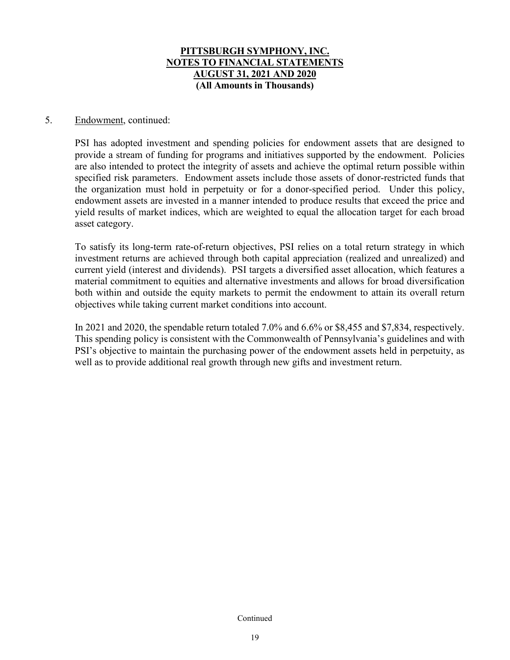#### 5. Endowment, continued:

PSI has adopted investment and spending policies for endowment assets that are designed to provide a stream of funding for programs and initiatives supported by the endowment. Policies are also intended to protect the integrity of assets and achieve the optimal return possible within specified risk parameters. Endowment assets include those assets of donor-restricted funds that the organization must hold in perpetuity or for a donor-specified period. Under this policy, endowment assets are invested in a manner intended to produce results that exceed the price and yield results of market indices, which are weighted to equal the allocation target for each broad asset category.

To satisfy its long-term rate-of-return objectives, PSI relies on a total return strategy in which investment returns are achieved through both capital appreciation (realized and unrealized) and current yield (interest and dividends). PSI targets a diversified asset allocation, which features a material commitment to equities and alternative investments and allows for broad diversification both within and outside the equity markets to permit the endowment to attain its overall return objectives while taking current market conditions into account.

In 2021 and 2020, the spendable return totaled 7.0% and 6.6% or \$8,455 and \$7,834, respectively. This spending policy is consistent with the Commonwealth of Pennsylvania's guidelines and with PSI's objective to maintain the purchasing power of the endowment assets held in perpetuity, as well as to provide additional real growth through new gifts and investment return.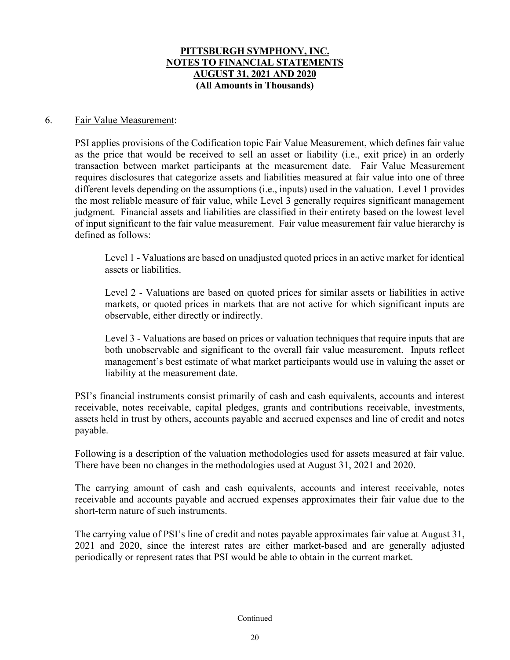#### 6. Fair Value Measurement:

PSI applies provisions of the Codification topic Fair Value Measurement, which defines fair value as the price that would be received to sell an asset or liability (i.e., exit price) in an orderly transaction between market participants at the measurement date. Fair Value Measurement requires disclosures that categorize assets and liabilities measured at fair value into one of three different levels depending on the assumptions (i.e., inputs) used in the valuation. Level 1 provides the most reliable measure of fair value, while Level 3 generally requires significant management judgment. Financial assets and liabilities are classified in their entirety based on the lowest level of input significant to the fair value measurement. Fair value measurement fair value hierarchy is defined as follows:

Level 1 - Valuations are based on unadjusted quoted prices in an active market for identical assets or liabilities.

Level 2 - Valuations are based on quoted prices for similar assets or liabilities in active markets, or quoted prices in markets that are not active for which significant inputs are observable, either directly or indirectly.

Level 3 - Valuations are based on prices or valuation techniques that require inputs that are both unobservable and significant to the overall fair value measurement. Inputs reflect management's best estimate of what market participants would use in valuing the asset or liability at the measurement date.

PSI's financial instruments consist primarily of cash and cash equivalents, accounts and interest receivable, notes receivable, capital pledges, grants and contributions receivable, investments, assets held in trust by others, accounts payable and accrued expenses and line of credit and notes payable.

Following is a description of the valuation methodologies used for assets measured at fair value. There have been no changes in the methodologies used at August 31, 2021 and 2020.

The carrying amount of cash and cash equivalents, accounts and interest receivable, notes receivable and accounts payable and accrued expenses approximates their fair value due to the short-term nature of such instruments.

The carrying value of PSI's line of credit and notes payable approximates fair value at August 31, 2021 and 2020, since the interest rates are either market-based and are generally adjusted periodically or represent rates that PSI would be able to obtain in the current market.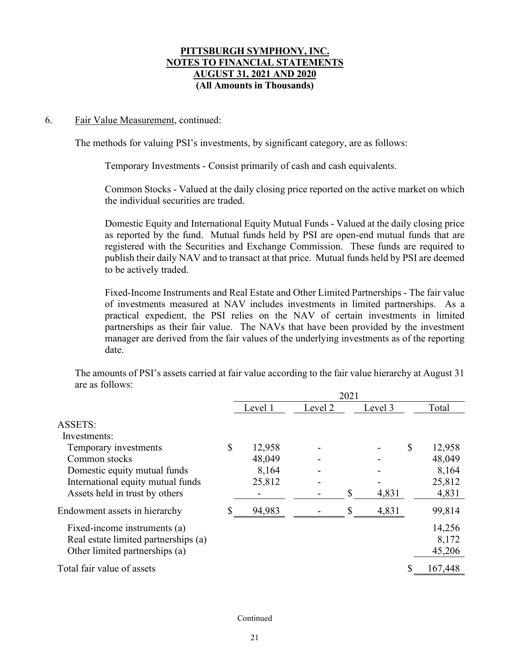#### 6. Fair Value Measurement, continued:

The methods for valuing PSI's investments, by significant category, are as follows:

Temporary Investments - Consist primarily of cash and cash equivalents.

Common Stocks - Valued at the daily closing price reported on the active market on which the individual securities are traded.

Domestic Equity and International Equity Mutual Funds - Valued at the daily closing price as reported by the fund. Mutual funds held by PSI are open-end mutual funds that are registered with the Securities and Exchange Commission. These funds are required to publish their daily NAV and to transact at that price. Mutual funds held by PSI are deemed to be actively traded.

Fixed-Income Instruments and Real Estate and Other Limited Partnerships - The fair value of investments measured at NAV includes investments in limited partnerships. As a practical expedient, the PSI relies on the NAV of certain investments in limited partnerships as their fair value. The NAVs that have been provided by the investment manager are derived from the fair values of the underlying investments as of the reporting date.

The amounts of PSI's assets carried at fair value according to the fair value hierarchy at August 31 are as follows:

|                                      | 2021         |         |    |         |              |         |
|--------------------------------------|--------------|---------|----|---------|--------------|---------|
|                                      | Level 1      | Level 2 |    | Level 3 |              | Total   |
| <b>ASSETS:</b>                       |              |         |    |         |              |         |
| Investments:                         |              |         |    |         |              |         |
| Temporary investments                | \$<br>12,958 |         |    |         | $\mathbb{S}$ | 12,958  |
| Common stocks                        | 48,049       |         |    |         |              | 48,049  |
| Domestic equity mutual funds         | 8,164        |         |    |         |              | 8,164   |
| International equity mutual funds    | 25,812       |         |    |         |              | 25,812  |
| Assets held in trust by others       |              |         | \$ | 4,831   |              | 4,831   |
| Endowment assets in hierarchy        | 94,983       |         | \$ | 4,831   |              | 99,814  |
| Fixed-income instruments (a)         |              |         |    |         |              | 14,256  |
| Real estate limited partnerships (a) |              |         |    |         |              | 8,172   |
| Other limited partnerships (a)       |              |         |    |         |              | 45,206  |
| Total fair value of assets           |              |         |    |         | \$           | 167,448 |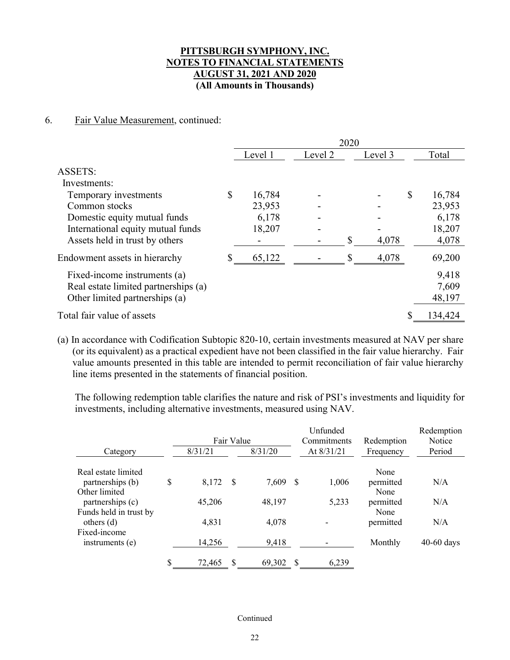#### 6. Fair Value Measurement, continued:

|                                      | 2020         |         |    |         |    |         |
|--------------------------------------|--------------|---------|----|---------|----|---------|
|                                      | Level 1      | Level 2 |    | Level 3 |    | Total   |
| <b>ASSETS:</b>                       |              |         |    |         |    |         |
| Investments:                         |              |         |    |         |    |         |
| Temporary investments                | \$<br>16,784 |         |    |         | \$ | 16,784  |
| Common stocks                        | 23,953       |         |    |         |    | 23,953  |
| Domestic equity mutual funds         | 6,178        |         |    |         |    | 6,178   |
| International equity mutual funds    | 18,207       |         |    |         |    | 18,207  |
| Assets held in trust by others       |              |         | \$ | 4,078   |    | 4,078   |
| Endowment assets in hierarchy        | 65,122       |         | \$ | 4,078   |    | 69,200  |
| Fixed-income instruments (a)         |              |         |    |         |    | 9,418   |
| Real estate limited partnerships (a) |              |         |    |         |    | 7,609   |
| Other limited partnerships (a)       |              |         |    |         |    | 48,197  |
| Total fair value of assets           |              |         |    |         |    | 134,424 |

(a) In accordance with Codification Subtopic 820-10, certain investments measured at NAV per share (or its equivalent) as a practical expedient have not been classified in the fair value hierarchy. Fair value amounts presented in this table are intended to permit reconciliation of fair value hierarchy line items presented in the statements of financial position.

The following redemption table clarifies the nature and risk of PSI's investments and liquidity for investments, including alternative investments, measured using NAV.

|                                            |              | Fair Value    |         |               | Unfunded<br>Commitments | Redemption        | Redemption<br>Notice |
|--------------------------------------------|--------------|---------------|---------|---------------|-------------------------|-------------------|----------------------|
| Category                                   | 8/31/21      |               | 8/31/20 |               | At 8/31/21              | Frequency         | Period               |
| Real estate limited                        |              |               |         |               |                         | None              |                      |
| partnerships (b)<br>Other limited          | \$<br>8,172  | $\mathcal{S}$ | 7,609   | <sup>\$</sup> | 1,006                   | permitted<br>None | N/A                  |
| partnerships (c)<br>Funds held in trust by | 45,206       |               | 48,197  |               | 5,233                   | permitted<br>None | N/A                  |
| others $(d)$<br>Fixed-income               | 4,831        |               | 4,078   |               |                         | permitted         | N/A                  |
| instruments (e)                            | 14,256       |               | 9,418   |               |                         | Monthly           | $40-60$ days         |
|                                            | \$<br>72,465 | \$            | 69,302  | S             | 6,239                   |                   |                      |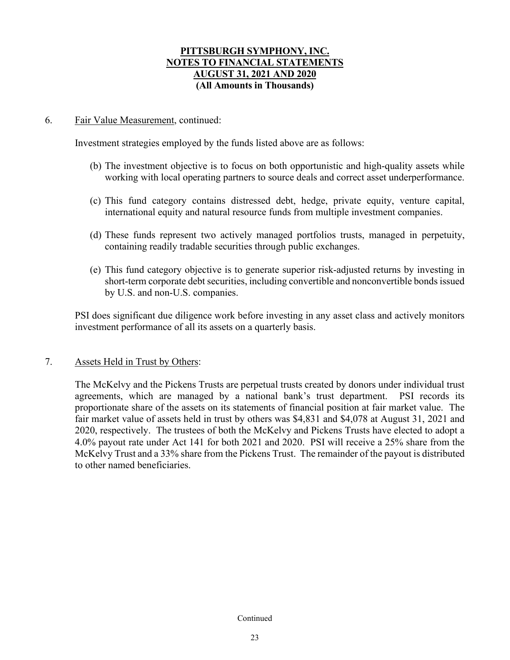### 6. Fair Value Measurement, continued:

Investment strategies employed by the funds listed above are as follows:

- (b) The investment objective is to focus on both opportunistic and high-quality assets while working with local operating partners to source deals and correct asset underperformance.
- (c) This fund category contains distressed debt, hedge, private equity, venture capital, international equity and natural resource funds from multiple investment companies.
- (d) These funds represent two actively managed portfolios trusts, managed in perpetuity, containing readily tradable securities through public exchanges.
- (e) This fund category objective is to generate superior risk-adjusted returns by investing in short-term corporate debt securities, including convertible and nonconvertible bonds issued by U.S. and non-U.S. companies.

PSI does significant due diligence work before investing in any asset class and actively monitors investment performance of all its assets on a quarterly basis.

### 7. Assets Held in Trust by Others:

The McKelvy and the Pickens Trusts are perpetual trusts created by donors under individual trust agreements, which are managed by a national bank's trust department. PSI records its proportionate share of the assets on its statements of financial position at fair market value. The fair market value of assets held in trust by others was \$4,831 and \$4,078 at August 31, 2021 and 2020, respectively. The trustees of both the McKelvy and Pickens Trusts have elected to adopt a 4.0% payout rate under Act 141 for both 2021 and 2020. PSI will receive a 25% share from the McKelvy Trust and a 33% share from the Pickens Trust. The remainder of the payout is distributed to other named beneficiaries.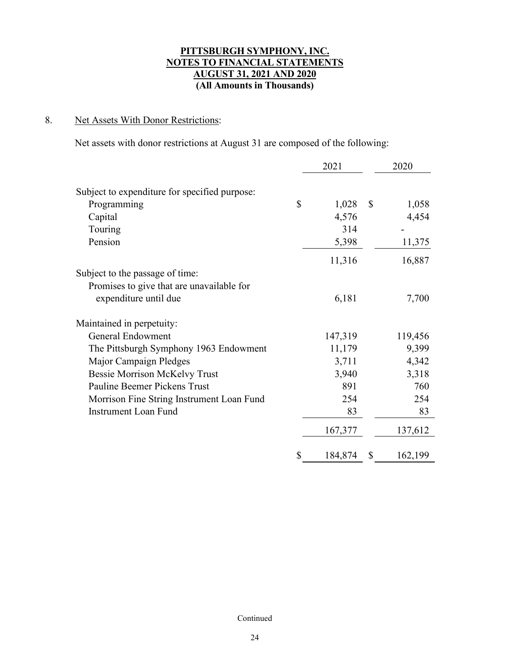# 8. Net Assets With Donor Restrictions:

Net assets with donor restrictions at August 31 are composed of the following:

|                                               | 2021          |              | 2020    |
|-----------------------------------------------|---------------|--------------|---------|
| Subject to expenditure for specified purpose: |               |              |         |
| Programming                                   | \$<br>1,028   | $\mathbb{S}$ | 1,058   |
| Capital                                       | 4,576         |              | 4,454   |
| Touring                                       | 314           |              |         |
| Pension                                       | 5,398         |              | 11,375  |
|                                               | 11,316        |              | 16,887  |
| Subject to the passage of time:               |               |              |         |
| Promises to give that are unavailable for     |               |              |         |
| expenditure until due                         | 6,181         |              | 7,700   |
| Maintained in perpetuity:                     |               |              |         |
| <b>General Endowment</b>                      | 147,319       |              | 119,456 |
| The Pittsburgh Symphony 1963 Endowment        | 11,179        |              | 9,399   |
| Major Campaign Pledges                        | 3,711         |              | 4,342   |
| <b>Bessie Morrison McKelvy Trust</b>          | 3,940         |              | 3,318   |
| Pauline Beemer Pickens Trust                  | 891           |              | 760     |
| Morrison Fine String Instrument Loan Fund     | 254           |              | 254     |
| <b>Instrument Loan Fund</b>                   | 83            |              | 83      |
|                                               | 167,377       |              | 137,612 |
|                                               | \$<br>184,874 | \$           | 162,199 |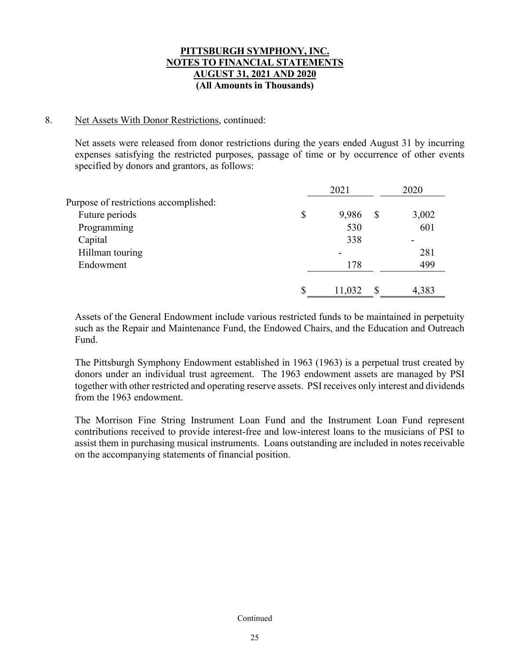#### 8. Net Assets With Donor Restrictions, continued:

Net assets were released from donor restrictions during the years ended August 31 by incurring expenses satisfying the restricted purposes, passage of time or by occurrence of other events specified by donors and grantors, as follows:

|                                       | 2021         |   | 2020  |
|---------------------------------------|--------------|---|-------|
| Purpose of restrictions accomplished: |              |   |       |
| Future periods                        | \$<br>9,986  | S | 3,002 |
| Programming                           | 530          |   | 601   |
| Capital                               | 338          |   |       |
| Hillman touring                       |              |   | 281   |
| Endowment                             | 178          |   | 499   |
|                                       | \$<br>11,032 |   | 4,383 |

Assets of the General Endowment include various restricted funds to be maintained in perpetuity such as the Repair and Maintenance Fund, the Endowed Chairs, and the Education and Outreach Fund.

The Pittsburgh Symphony Endowment established in 1963 (1963) is a perpetual trust created by donors under an individual trust agreement. The 1963 endowment assets are managed by PSI together with other restricted and operating reserve assets. PSI receives only interest and dividends from the 1963 endowment.

The Morrison Fine String Instrument Loan Fund and the Instrument Loan Fund represent contributions received to provide interest-free and low-interest loans to the musicians of PSI to assist them in purchasing musical instruments. Loans outstanding are included in notes receivable on the accompanying statements of financial position.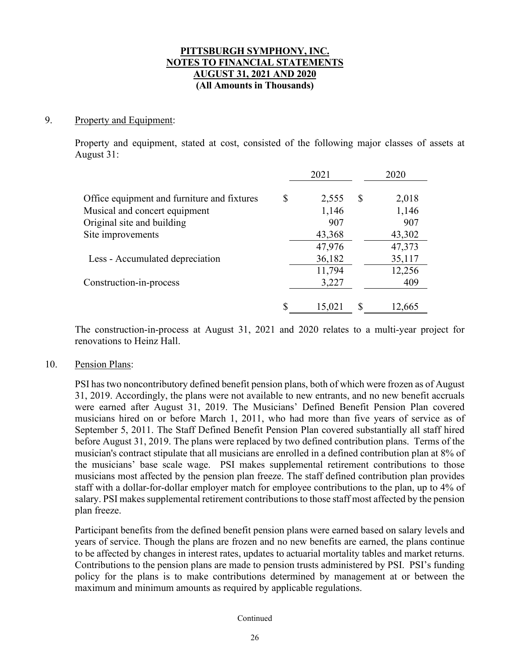#### 9. Property and Equipment:

Property and equipment, stated at cost, consisted of the following major classes of assets at August 31:

|                                             | 2021        |    | 2020   |
|---------------------------------------------|-------------|----|--------|
| Office equipment and furniture and fixtures | \$<br>2,555 | \$ | 2,018  |
| Musical and concert equipment               | 1,146       |    | 1,146  |
| Original site and building                  | 907         |    | 907    |
| Site improvements                           | 43,368      |    | 43,302 |
|                                             | 47,976      |    | 47,373 |
| Less - Accumulated depreciation             | 36,182      |    | 35,117 |
|                                             | 11,794      |    | 12,256 |
| Construction-in-process                     | 3,227       |    | 409    |
|                                             | 15,021      | S  | 12,665 |

The construction-in-process at August 31, 2021 and 2020 relates to a multi-year project for renovations to Heinz Hall.

#### 10. Pension Plans:

PSI has two noncontributory defined benefit pension plans, both of which were frozen as of August 31, 2019. Accordingly, the plans were not available to new entrants, and no new benefit accruals were earned after August 31, 2019. The Musicians' Defined Benefit Pension Plan covered musicians hired on or before March 1, 2011, who had more than five years of service as of September 5, 2011. The Staff Defined Benefit Pension Plan covered substantially all staff hired before August 31, 2019. The plans were replaced by two defined contribution plans. Terms of the musician's contract stipulate that all musicians are enrolled in a defined contribution plan at 8% of the musicians' base scale wage. PSI makes supplemental retirement contributions to those musicians most affected by the pension plan freeze. The staff defined contribution plan provides staff with a dollar-for-dollar employer match for employee contributions to the plan, up to 4% of salary. PSI makes supplemental retirement contributions to those staff most affected by the pension plan freeze.

Participant benefits from the defined benefit pension plans were earned based on salary levels and years of service. Though the plans are frozen and no new benefits are earned, the plans continue to be affected by changes in interest rates, updates to actuarial mortality tables and market returns. Contributions to the pension plans are made to pension trusts administered by PSI. PSI's funding policy for the plans is to make contributions determined by management at or between the maximum and minimum amounts as required by applicable regulations.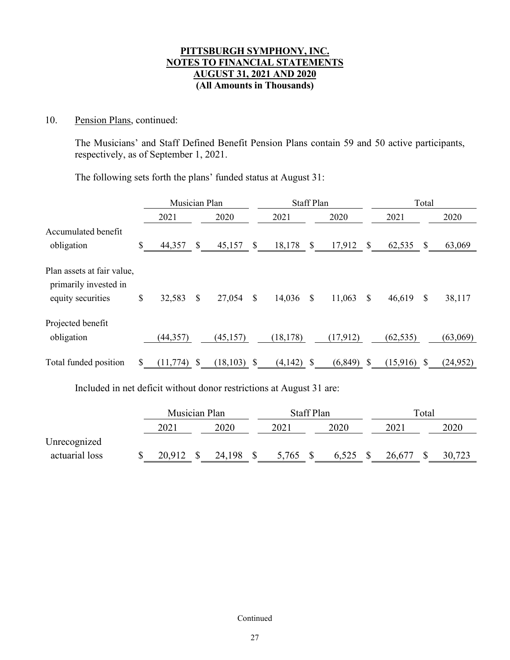### 10. Pension Plans, continued:

The Musicians' and Staff Defined Benefit Pension Plans contain 59 and 50 active participants, respectively, as of September 1, 2021.

The following sets forth the plans' funded status at August 31:

|                                                     | Musician Plan |    |           |    | <b>Staff Plan</b> |               |          | Total                     |           |              |           |
|-----------------------------------------------------|---------------|----|-----------|----|-------------------|---------------|----------|---------------------------|-----------|--------------|-----------|
|                                                     | 2021          |    | 2020      |    | 2021              |               | 2020     |                           | 2021      |              | 2020      |
| Accumulated benefit<br>obligation                   | \$<br>44,357  | \$ | 45,157    | \$ | 18,178            | \$            | 17,912   | $\boldsymbol{\mathsf{S}}$ | 62,535    | \$           | 63,069    |
| Plan assets at fair value,<br>primarily invested in |               |    |           |    |                   |               |          |                           |           |              |           |
| equity securities                                   | \$<br>32,583  | \$ | 27,054    | \$ | 14,036            | $\mathcal{S}$ | 11,063   | \$                        | 46,619    | \$           | 38,117    |
| Projected benefit                                   |               |    |           |    |                   |               |          |                           |           |              |           |
| obligation                                          | (44, 357)     |    | (45, 157) |    | (18, 178)         |               | (17,912) |                           | (62, 535) |              | (63,069)  |
| Total funded position                               | (11, 774)     | S  | (18, 103) | -S | (4,142)           | \$            | (6, 849) | <sup>S</sup>              | (15,916)  | <sup>S</sup> | (24, 952) |

Included in net deficit without donor restrictions at August 31 are:

|                | Musician Plan |  |        | <b>Staff Plan</b> |  |       |  | Total  |  |        |  |
|----------------|---------------|--|--------|-------------------|--|-------|--|--------|--|--------|--|
|                | 202           |  | 2020   | 2021              |  | 2020  |  | 2021   |  | 2020   |  |
| Unrecognized   |               |  |        |                   |  |       |  |        |  |        |  |
| actuarial loss | 20,912        |  | 24,198 | 5,765             |  | 6,525 |  | 26,677 |  | 30,723 |  |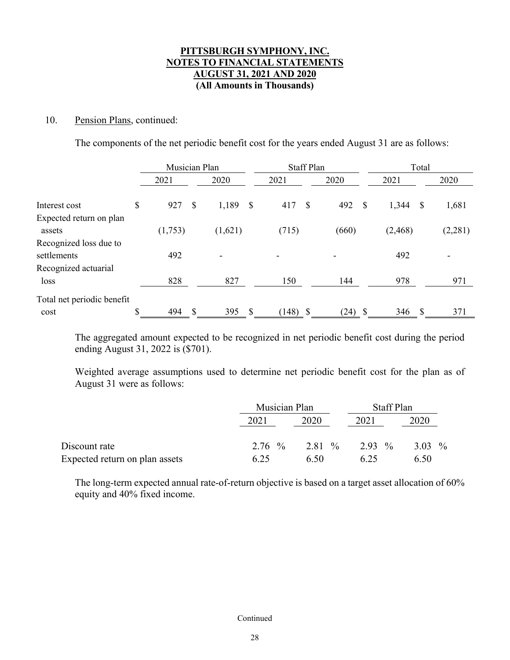#### 10. Pension Plans, continued:

The components of the net periodic benefit cost for the years ended August 31 are as follows:

|                            | Musician Plan |               |         |              | <b>Staff Plan</b>        |       |               | Total    |      |         |  |
|----------------------------|---------------|---------------|---------|--------------|--------------------------|-------|---------------|----------|------|---------|--|
|                            | 2021          |               | 2020    |              | 2021                     | 2020  |               | 2021     |      | 2020    |  |
| Interest cost              | \$<br>927     | \$            | 1,189   | $\mathbf{s}$ | 417<br>$\mathbb{S}$      | 492   | $\mathcal{S}$ | 1,344    | - \$ | 1,681   |  |
| Expected return on plan    |               |               |         |              |                          |       |               |          |      |         |  |
| assets                     | (1,753)       |               | (1,621) |              | (715)                    | (660) |               | (2, 468) |      | (2,281) |  |
| Recognized loss due to     |               |               |         |              |                          |       |               |          |      |         |  |
| settlements                | 492           |               |         |              | $\overline{\phantom{0}}$ |       |               | 492      |      |         |  |
| Recognized actuarial       |               |               |         |              |                          |       |               |          |      |         |  |
| loss                       | 828           |               | 827     |              | 150                      | 144   |               | 978      |      | 971     |  |
| Total net periodic benefit |               |               |         |              |                          |       |               |          |      |         |  |
| cost                       | \$<br>494     | <sup>\$</sup> | 395     | S            | (148)<br>- \$            | (24)  | -S            | 346      | - \$ | 371     |  |

The aggregated amount expected to be recognized in net periodic benefit cost during the period ending August 31, 2022 is (\$701).

Weighted average assumptions used to determine net periodic benefit cost for the plan as of August 31 were as follows:

|                                | Musician Plan |        | <b>Staff Plan</b> |           |
|--------------------------------|---------------|--------|-------------------|-----------|
|                                | 2021          | 2020   | 2021              | 2020      |
| Discount rate                  | $2.76\%$      | 2.81 % | 2.93 $\%$         | 3.03 $\%$ |
| Expected return on plan assets | 6.25          | 6.50   | 6.25              | 6.50      |

The long-term expected annual rate-of-return objective is based on a target asset allocation of 60% equity and 40% fixed income.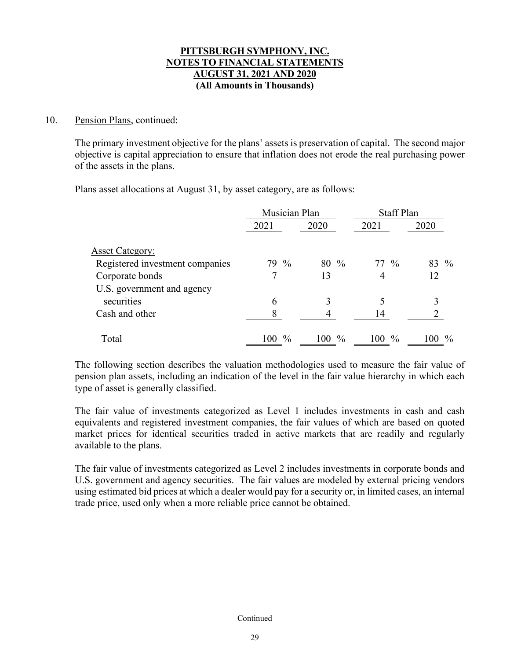#### 10. Pension Plans, continued:

The primary investment objective for the plans' assets is preservation of capital. The second major objective is capital appreciation to ensure that inflation does not erode the real purchasing power of the assets in the plans.

Plans asset allocations at August 31, by asset category, are as follows:

|                                 | Musician Plan |         | <b>Staff Plan</b> |             |
|---------------------------------|---------------|---------|-------------------|-------------|
|                                 | 2021          | 2020    | 2021              | 2020        |
| <b>Asset Category:</b>          |               |         |                   |             |
| Registered investment companies | 79 %          | 80 %    | $77 \frac{9}{6}$  | 83 %        |
| Corporate bonds                 |               | 13      | 4                 | 12          |
| U.S. government and agency      |               |         |                   |             |
| securities                      | 6             |         | 5                 |             |
| Cash and other                  | 8             |         | 14                |             |
| Total                           | $100\%$       | $100\%$ | $100\%$           | $\%$<br>100 |

The following section describes the valuation methodologies used to measure the fair value of pension plan assets, including an indication of the level in the fair value hierarchy in which each type of asset is generally classified.

The fair value of investments categorized as Level 1 includes investments in cash and cash equivalents and registered investment companies, the fair values of which are based on quoted market prices for identical securities traded in active markets that are readily and regularly available to the plans.

The fair value of investments categorized as Level 2 includes investments in corporate bonds and U.S. government and agency securities. The fair values are modeled by external pricing vendors using estimated bid prices at which a dealer would pay for a security or, in limited cases, an internal trade price, used only when a more reliable price cannot be obtained.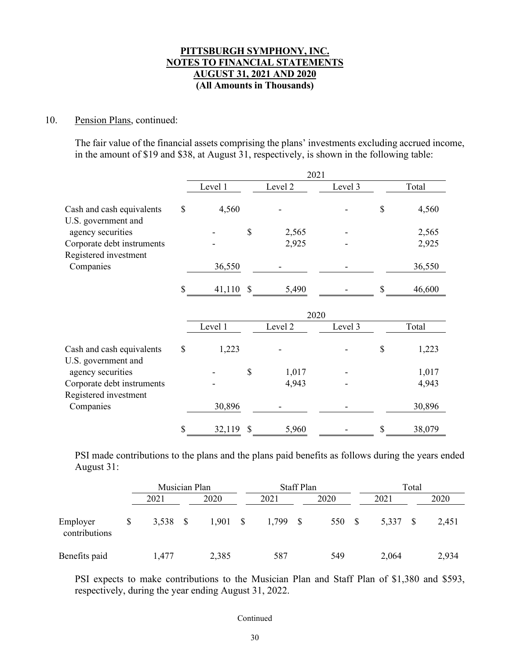#### 10. Pension Plans, continued:

The fair value of the financial assets comprising the plans' investments excluding accrued income, in the amount of \$19 and \$38, at August 31, respectively, is shown in the following table:

|                                                  |                         | 2021        |         |              |
|--------------------------------------------------|-------------------------|-------------|---------|--------------|
|                                                  | Level 1                 | Level 2     | Level 3 | Total        |
| Cash and cash equivalents                        | \$<br>4,560             |             |         | \$<br>4,560  |
| U.S. government and<br>agency securities         |                         | \$<br>2,565 |         | 2,565        |
| Corporate debt instruments                       |                         | 2,925       |         | 2,925        |
| Registered investment                            |                         |             |         |              |
| Companies                                        | 36,550                  |             |         | 36,550       |
|                                                  | \$<br>41,110 $\sqrt{s}$ | 5,490       |         | \$<br>46,600 |
|                                                  |                         | 2020        |         |              |
|                                                  | Level 1                 | Level 2     | Level 3 | Total        |
| Cash and cash equivalents<br>U.S. government and | \$<br>1,223             |             |         | \$<br>1,223  |
| agency securities                                |                         | \$<br>1,017 |         | 1,017        |
| Corporate debt instruments                       |                         | 4,943       |         | 4,943        |
| Registered investment                            |                         |             |         |              |
| Companies                                        | 30,896                  |             |         | 30,896       |
|                                                  | \$<br>32,119 \$         | 5,960       |         | \$<br>38,079 |

PSI made contributions to the plans and the plans paid benefits as follows during the years ended August 31:

|                           | Musician Plan |      |       |              |       | <b>Staff Plan</b> |      |     | Total |  |       |  |
|---------------------------|---------------|------|-------|--------------|-------|-------------------|------|-----|-------|--|-------|--|
|                           | 2021          |      | 2020  |              | 2021  |                   | 2020 |     | 2021  |  | 2020  |  |
| Employer<br>contributions | 3,538         | - \$ | 1,901 | <sup>S</sup> | 1,799 | - \$              | 550  | - S | 5,337 |  | 2,451 |  |
| Benefits paid             | 1,477         |      | 2,385 |              | 587   |                   | 549  |     | 2,064 |  | 2,934 |  |

PSI expects to make contributions to the Musician Plan and Staff Plan of \$1,380 and \$593, respectively, during the year ending August 31, 2022.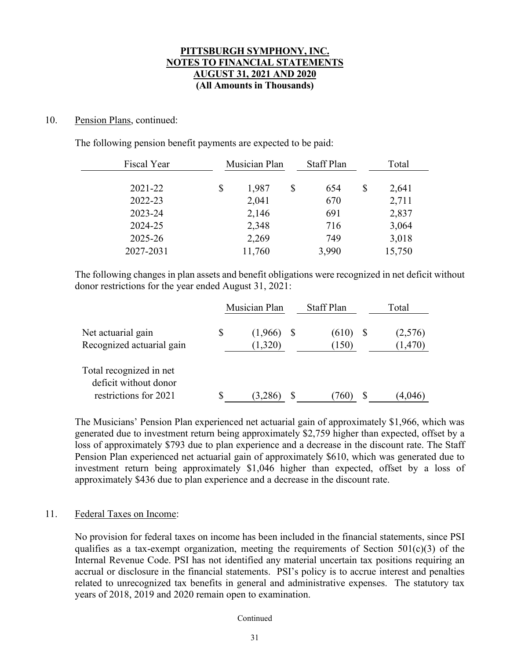#### 10. Pension Plans, continued:

The following pension benefit payments are expected to be paid:

| Fiscal Year | Musician Plan | <b>Staff Plan</b> | Total       |
|-------------|---------------|-------------------|-------------|
|             |               |                   |             |
| 2021-22     | \$<br>1,987   | \$<br>654         | \$<br>2,641 |
| 2022-23     | 2,041         | 670               | 2,711       |
| 2023-24     | 2,146         | 691               | 2,837       |
| 2024-25     | 2,348         | 716               | 3,064       |
| 2025-26     | 2,269         | 749               | 3,018       |
| 2027-2031   | 11,760        | 3,990             | 15,750      |

The following changes in plan assets and benefit obligations were recognized in net deficit without donor restrictions for the year ended August 31, 2021:

|                                                                           |    | Musician Plan      |   | <b>Staff Plan</b> |              | Total               |
|---------------------------------------------------------------------------|----|--------------------|---|-------------------|--------------|---------------------|
| Net actuarial gain<br>Recognized actuarial gain                           | \$ | (1,966)<br>(1,320) |   | (610)<br>(150)    | S            | (2,576)<br>(1, 470) |
| Total recognized in net<br>deficit without donor<br>restrictions for 2021 | S  | 3,286              | S | 760               | <sup>8</sup> | 4,046               |

The Musicians' Pension Plan experienced net actuarial gain of approximately \$1,966, which was generated due to investment return being approximately \$2,759 higher than expected, offset by a loss of approximately \$793 due to plan experience and a decrease in the discount rate. The Staff Pension Plan experienced net actuarial gain of approximately \$610, which was generated due to investment return being approximately \$1,046 higher than expected, offset by a loss of approximately \$436 due to plan experience and a decrease in the discount rate.

### 11. Federal Taxes on Income:

No provision for federal taxes on income has been included in the financial statements, since PSI qualifies as a tax-exempt organization, meeting the requirements of Section  $501(c)(3)$  of the Internal Revenue Code. PSI has not identified any material uncertain tax positions requiring an accrual or disclosure in the financial statements. PSI's policy is to accrue interest and penalties related to unrecognized tax benefits in general and administrative expenses. The statutory tax years of 2018, 2019 and 2020 remain open to examination.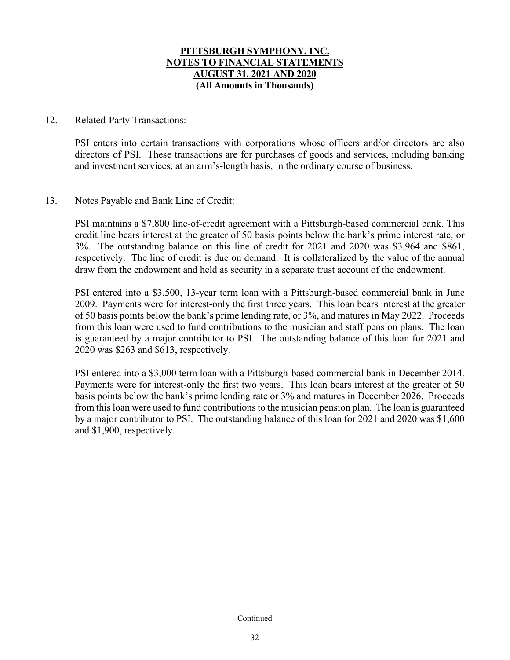#### 12. Related-Party Transactions:

PSI enters into certain transactions with corporations whose officers and/or directors are also directors of PSI. These transactions are for purchases of goods and services, including banking and investment services, at an arm's-length basis, in the ordinary course of business.

### 13. Notes Payable and Bank Line of Credit:

PSI maintains a \$7,800 line-of-credit agreement with a Pittsburgh-based commercial bank. This credit line bears interest at the greater of 50 basis points below the bank's prime interest rate, or 3%. The outstanding balance on this line of credit for 2021 and 2020 was \$3,964 and \$861, respectively. The line of credit is due on demand. It is collateralized by the value of the annual draw from the endowment and held as security in a separate trust account of the endowment.

PSI entered into a \$3,500, 13-year term loan with a Pittsburgh-based commercial bank in June 2009. Payments were for interest-only the first three years. This loan bears interest at the greater of 50 basis points below the bank's prime lending rate, or 3%, and matures in May 2022. Proceeds from this loan were used to fund contributions to the musician and staff pension plans. The loan is guaranteed by a major contributor to PSI. The outstanding balance of this loan for 2021 and 2020 was \$263 and \$613, respectively.

PSI entered into a \$3,000 term loan with a Pittsburgh-based commercial bank in December 2014. Payments were for interest-only the first two years. This loan bears interest at the greater of 50 basis points below the bank's prime lending rate or 3% and matures in December 2026. Proceeds from this loan were used to fund contributions to the musician pension plan. The loan is guaranteed by a major contributor to PSI. The outstanding balance of this loan for 2021 and 2020 was \$1,600 and \$1,900, respectively.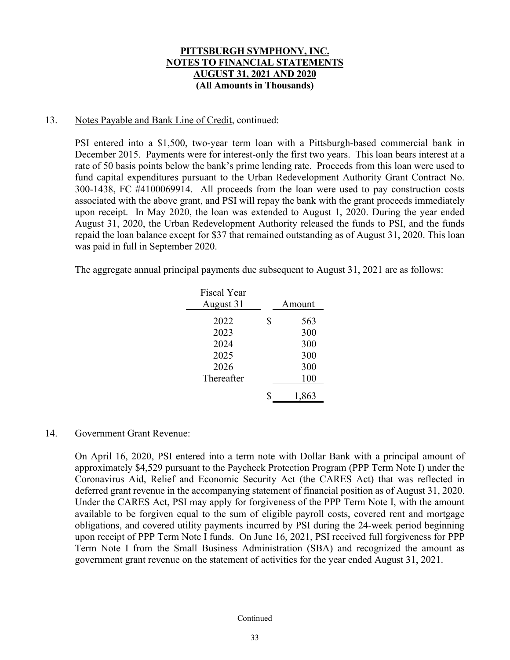### 13. Notes Payable and Bank Line of Credit, continued:

PSI entered into a \$1,500, two-year term loan with a Pittsburgh-based commercial bank in December 2015. Payments were for interest-only the first two years. This loan bears interest at a rate of 50 basis points below the bank's prime lending rate. Proceeds from this loan were used to fund capital expenditures pursuant to the Urban Redevelopment Authority Grant Contract No. 300-1438, FC #4100069914. All proceeds from the loan were used to pay construction costs associated with the above grant, and PSI will repay the bank with the grant proceeds immediately upon receipt. In May 2020, the loan was extended to August 1, 2020. During the year ended August 31, 2020, the Urban Redevelopment Authority released the funds to PSI, and the funds repaid the loan balance except for \$37 that remained outstanding as of August 31, 2020. This loan was paid in full in September 2020.

The aggregate annual principal payments due subsequent to August 31, 2021 are as follows:

| Fiscal Year<br>August 31 | Amount    |
|--------------------------|-----------|
| 2022                     | \$<br>563 |
| 2023                     | 300       |
| 2024                     | 300       |
| 2025                     | 300       |
| 2026                     | 300       |
| Thereafter               | 100       |
|                          | 1,863     |

# 14. Government Grant Revenue:

On April 16, 2020, PSI entered into a term note with Dollar Bank with a principal amount of approximately \$4,529 pursuant to the Paycheck Protection Program (PPP Term Note I) under the Coronavirus Aid, Relief and Economic Security Act (the CARES Act) that was reflected in deferred grant revenue in the accompanying statement of financial position as of August 31, 2020. Under the CARES Act, PSI may apply for forgiveness of the PPP Term Note I, with the amount available to be forgiven equal to the sum of eligible payroll costs, covered rent and mortgage obligations, and covered utility payments incurred by PSI during the 24-week period beginning upon receipt of PPP Term Note I funds. On June 16, 2021, PSI received full forgiveness for PPP Term Note I from the Small Business Administration (SBA) and recognized the amount as government grant revenue on the statement of activities for the year ended August 31, 2021.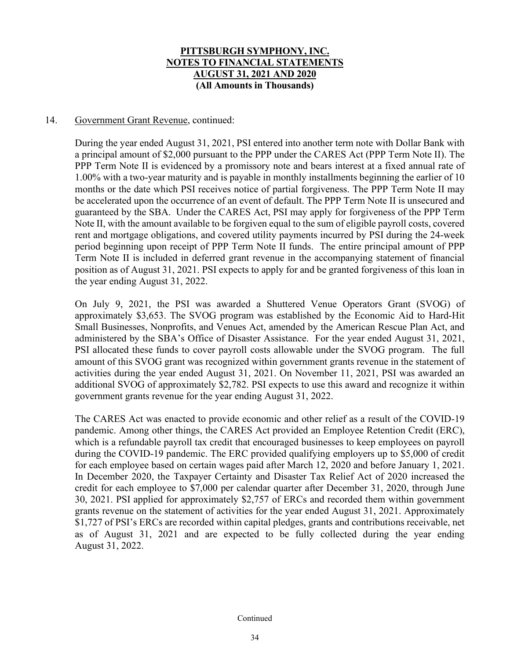### 14. Government Grant Revenue, continued:

During the year ended August 31, 2021, PSI entered into another term note with Dollar Bank with a principal amount of \$2,000 pursuant to the PPP under the CARES Act (PPP Term Note II). The PPP Term Note II is evidenced by a promissory note and bears interest at a fixed annual rate of 1.00% with a two-year maturity and is payable in monthly installments beginning the earlier of 10 months or the date which PSI receives notice of partial forgiveness. The PPP Term Note II may be accelerated upon the occurrence of an event of default. The PPP Term Note II is unsecured and guaranteed by the SBA. Under the CARES Act, PSI may apply for forgiveness of the PPP Term Note II, with the amount available to be forgiven equal to the sum of eligible payroll costs, covered rent and mortgage obligations, and covered utility payments incurred by PSI during the 24-week period beginning upon receipt of PPP Term Note II funds. The entire principal amount of PPP Term Note II is included in deferred grant revenue in the accompanying statement of financial position as of August 31, 2021. PSI expects to apply for and be granted forgiveness of this loan in the year ending August 31, 2022.

On July 9, 2021, the PSI was awarded a Shuttered Venue Operators Grant (SVOG) of approximately \$3,653. The SVOG program was established by the Economic Aid to Hard-Hit Small Businesses, Nonprofits, and Venues Act, amended by the American Rescue Plan Act, and administered by the SBA's Office of Disaster Assistance. For the year ended August 31, 2021, PSI allocated these funds to cover payroll costs allowable under the SVOG program. The full amount of this SVOG grant was recognized within government grants revenue in the statement of activities during the year ended August 31, 2021. On November 11, 2021, PSI was awarded an additional SVOG of approximately \$2,782. PSI expects to use this award and recognize it within government grants revenue for the year ending August 31, 2022.

The CARES Act was enacted to provide economic and other relief as a result of the COVID-19 pandemic. Among other things, the CARES Act provided an Employee Retention Credit (ERC), which is a refundable payroll tax credit that encouraged businesses to keep employees on payroll during the COVID-19 pandemic. The ERC provided qualifying employers up to \$5,000 of credit for each employee based on certain wages paid after March 12, 2020 and before January 1, 2021. In December 2020, the Taxpayer Certainty and Disaster Tax Relief Act of 2020 increased the credit for each employee to \$7,000 per calendar quarter after December 31, 2020, through June 30, 2021. PSI applied for approximately \$2,757 of ERCs and recorded them within government grants revenue on the statement of activities for the year ended August 31, 2021. Approximately \$1,727 of PSI's ERCs are recorded within capital pledges, grants and contributions receivable, net as of August 31, 2021 and are expected to be fully collected during the year ending August 31, 2022.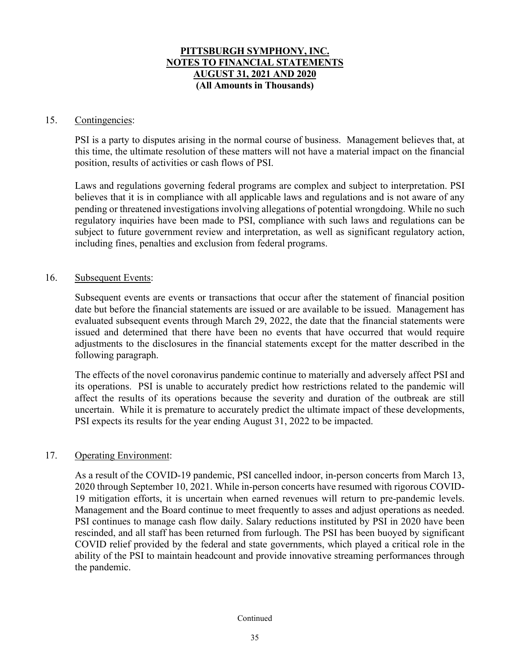#### 15. Contingencies:

PSI is a party to disputes arising in the normal course of business. Management believes that, at this time, the ultimate resolution of these matters will not have a material impact on the financial position, results of activities or cash flows of PSI.

Laws and regulations governing federal programs are complex and subject to interpretation. PSI believes that it is in compliance with all applicable laws and regulations and is not aware of any pending or threatened investigations involving allegations of potential wrongdoing. While no such regulatory inquiries have been made to PSI, compliance with such laws and regulations can be subject to future government review and interpretation, as well as significant regulatory action, including fines, penalties and exclusion from federal programs.

#### 16. Subsequent Events:

Subsequent events are events or transactions that occur after the statement of financial position date but before the financial statements are issued or are available to be issued. Management has evaluated subsequent events through March 29, 2022, the date that the financial statements were issued and determined that there have been no events that have occurred that would require adjustments to the disclosures in the financial statements except for the matter described in the following paragraph.

The effects of the novel coronavirus pandemic continue to materially and adversely affect PSI and its operations. PSI is unable to accurately predict how restrictions related to the pandemic will affect the results of its operations because the severity and duration of the outbreak are still uncertain. While it is premature to accurately predict the ultimate impact of these developments, PSI expects its results for the year ending August 31, 2022 to be impacted.

### 17. Operating Environment:

As a result of the COVID-19 pandemic, PSI cancelled indoor, in-person concerts from March 13, 2020 through September 10, 2021. While in-person concerts have resumed with rigorous COVID-19 mitigation efforts, it is uncertain when earned revenues will return to pre-pandemic levels. Management and the Board continue to meet frequently to asses and adjust operations as needed. PSI continues to manage cash flow daily. Salary reductions instituted by PSI in 2020 have been rescinded, and all staff has been returned from furlough. The PSI has been buoyed by significant COVID relief provided by the federal and state governments, which played a critical role in the ability of the PSI to maintain headcount and provide innovative streaming performances through the pandemic.